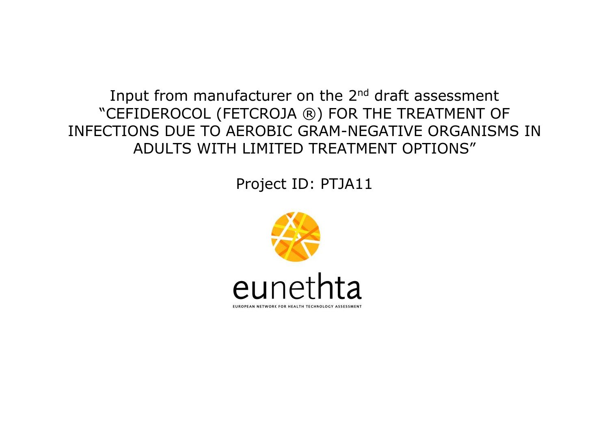Input from manufacturer on the 2<sup>nd</sup> draft assessment "CEFIDEROCOL (FETCROJA ®) FOR THE TREATMENT OF INFECTIONS DUE TO AEROBIC GRAM-NEGATIVE ORGANISMS IN ADULTS WITH LIMITED TREATMENT OPTIONS"

Project ID: PTJA11

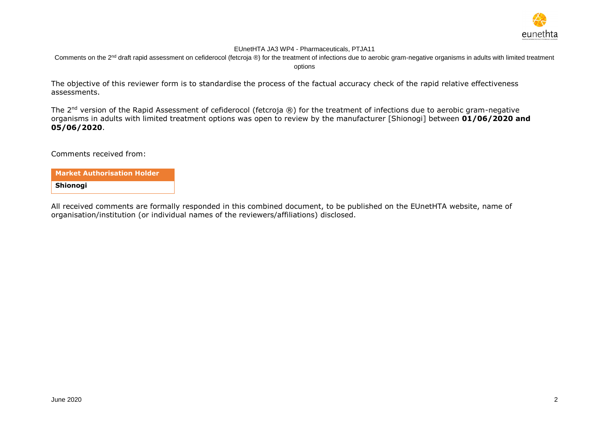

Comments on the 2<sup>nd</sup> draft rapid assessment on cefiderocol (fetcroja ®) for the treatment of infections due to aerobic gram-negative organisms in adults with limited treatment options

The objective of this reviewer form is to standardise the process of the factual accuracy check of the rapid relative effectiveness assessments.

The 2<sup>nd</sup> version of the Rapid Assessment of cefiderocol (fetcroja ®) for the treatment of infections due to aerobic gram-negative organisms in adults with limited treatment options was open to review by the manufacturer [Shionogi] between **01/06/2020 and 05/06/2020**.

Comments received from:

**Market Authorisation Holder Shionogi**

All received comments are formally responded in this combined document, to be published on the EUnetHTA website, name of organisation/institution (or individual names of the reviewers/affiliations) disclosed.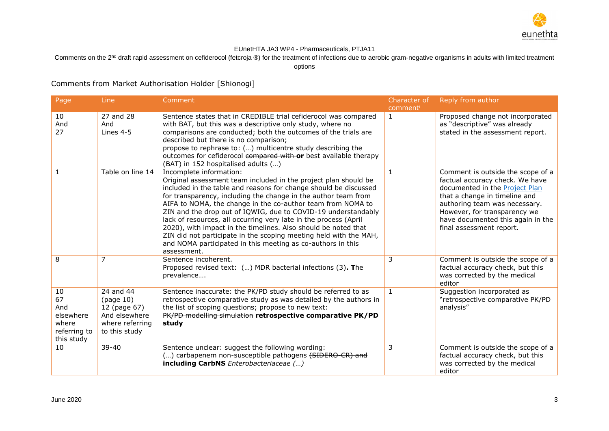

Comments on the 2<sup>nd</sup> draft rapid assessment on cefiderocol (fetcroja ®) for the treatment of infections due to aerobic gram-negative organisms in adults with limited treatment

options

Comments from Market Authorisation Holder [Shionogi]

| Page                                                                | Line                                                                                        | Comment                                                                                                                                                                                                                                                                                                                                                                                                                                                                                                                                                                                                                                                   | Character of<br>comment | Reply from author                                                                                                                                                                                                                                                                |
|---------------------------------------------------------------------|---------------------------------------------------------------------------------------------|-----------------------------------------------------------------------------------------------------------------------------------------------------------------------------------------------------------------------------------------------------------------------------------------------------------------------------------------------------------------------------------------------------------------------------------------------------------------------------------------------------------------------------------------------------------------------------------------------------------------------------------------------------------|-------------------------|----------------------------------------------------------------------------------------------------------------------------------------------------------------------------------------------------------------------------------------------------------------------------------|
| 10<br>And<br>27                                                     | 27 and 28<br>And<br>Lines 4-5                                                               | Sentence states that in CREDIBLE trial cefiderocol was compared<br>with BAT, but this was a descriptive only study, where no<br>comparisons are conducted; both the outcomes of the trials are<br>described but there is no comparison;<br>propose to rephrase to: () multicentre study describing the<br>outcomes for cefiderocol compared with or best available therapy<br>(BAT) in 152 hospitalised adults ()                                                                                                                                                                                                                                         | $\mathbf{1}$            | Proposed change not incorporated<br>as "descriptive" was already<br>stated in the assessment report.                                                                                                                                                                             |
| $\mathbf{1}$                                                        | Table on line 14                                                                            | Incomplete information:<br>Original assessment team included in the project plan should be<br>included in the table and reasons for change should be discussed<br>for transparency, including the change in the author team from<br>AIFA to NOMA, the change in the co-author team from NOMA to<br>ZIN and the drop out of IQWIG, due to COVID-19 understandably<br>lack of resources, all occurring very late in the process (April<br>2020), with impact in the timelines. Also should be noted that<br>ZIN did not participate in the scoping meeting held with the MAH,<br>and NOMA participated in this meeting as co-authors in this<br>assessment. | $\mathbf{1}$            | Comment is outside the scope of a<br>factual accuracy check. We have<br>documented in the <b>Project Plan</b><br>that a change in timeline and<br>authoring team was necessary.<br>However, for transparency we<br>have documented this again in the<br>final assessment report. |
| 8                                                                   | $\overline{7}$                                                                              | Sentence incoherent.<br>Proposed revised text: () MDR bacterial infections (3). The<br>prevalence                                                                                                                                                                                                                                                                                                                                                                                                                                                                                                                                                         | 3                       | Comment is outside the scope of a<br>factual accuracy check, but this<br>was corrected by the medical<br>editor                                                                                                                                                                  |
| 10<br>67<br>And<br>elsewhere<br>where<br>referring to<br>this study | 24 and 44<br>(page 10)<br>12 (page 67)<br>And elsewhere<br>where referring<br>to this study | Sentence inaccurate: the PK/PD study should be referred to as<br>retrospective comparative study as was detailed by the authors in<br>the list of scoping questions; propose to new text:<br>PK/PD modelling simulation retrospective comparative PK/PD<br>study                                                                                                                                                                                                                                                                                                                                                                                          | $\mathbf{1}$            | Suggestion incorporated as<br>"retrospective comparative PK/PD<br>analysis"                                                                                                                                                                                                      |
| 10                                                                  | 39-40                                                                                       | Sentence unclear: suggest the following wording:<br>() carbapenem non-susceptible pathogens (SIDERO-CR) and<br>including CarbNS Enterobacteriaceae ()                                                                                                                                                                                                                                                                                                                                                                                                                                                                                                     | 3                       | Comment is outside the scope of a<br>factual accuracy check, but this<br>was corrected by the medical<br>editor                                                                                                                                                                  |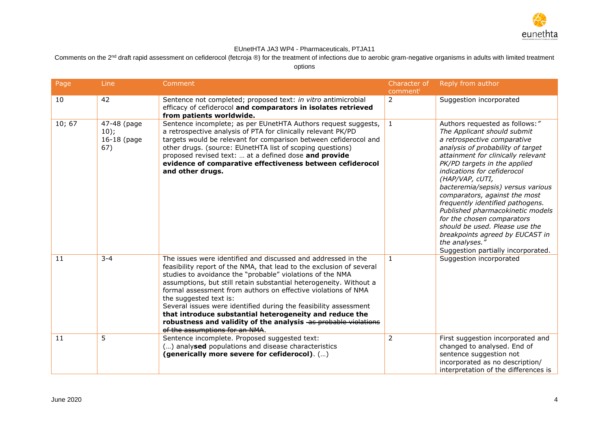

Comments on the 2<sup>nd</sup> draft rapid assessment on cefiderocol (fetcroja ®) for the treatment of infections due to aerobic gram-negative organisms in adults with limited treatment options

| Page   | Line                                      | Comment                                                                                                                                                                                                                                                                                                                                                                                                                                                                                                                                                                                                | Character of<br>comment | Reply from author                                                                                                                                                                                                                                                                                                                                                                                                                                                                                                                                                  |
|--------|-------------------------------------------|--------------------------------------------------------------------------------------------------------------------------------------------------------------------------------------------------------------------------------------------------------------------------------------------------------------------------------------------------------------------------------------------------------------------------------------------------------------------------------------------------------------------------------------------------------------------------------------------------------|-------------------------|--------------------------------------------------------------------------------------------------------------------------------------------------------------------------------------------------------------------------------------------------------------------------------------------------------------------------------------------------------------------------------------------------------------------------------------------------------------------------------------------------------------------------------------------------------------------|
| 10     | 42                                        | Sentence not completed; proposed text: in vitro antimicrobial<br>efficacy of cefiderocol and comparators in isolates retrieved<br>from patients worldwide.                                                                                                                                                                                                                                                                                                                                                                                                                                             | $\overline{2}$          | Suggestion incorporated                                                                                                                                                                                                                                                                                                                                                                                                                                                                                                                                            |
| 10; 67 | 47-48 (page<br>10);<br>16-18 (page<br>67) | Sentence incomplete; as per EUnetHTA Authors request suggests,<br>a retrospective analysis of PTA for clinically relevant PK/PD<br>targets would be relevant for comparison between cefiderocol and<br>other drugs. (source: EUnetHTA list of scoping questions)<br>proposed revised text:  at a defined dose and provide<br>evidence of comparative effectiveness between cefiderocol<br>and other drugs.                                                                                                                                                                                             | $\mathbf{1}$            | Authors requested as follows:"<br>The Applicant should submit<br>a retrospective comparative<br>analysis of probability of target<br>attainment for clinically relevant<br>PK/PD targets in the applied<br>indications for cefiderocol<br>(HAP/VAP, cUTI,<br>bacteremia/sepsis) versus various<br>comparators, against the most<br>frequently identified pathogens.<br>Published pharmacokinetic models<br>for the chosen comparators<br>should be used. Please use the<br>breakpoints agreed by EUCAST in<br>the analyses."<br>Suggestion partially incorporated. |
| 11     | $3 - 4$                                   | The issues were identified and discussed and addressed in the<br>feasibility report of the NMA, that lead to the exclusion of several<br>studies to avoidance the "probable" violations of the NMA<br>assumptions, but still retain substantial heterogeneity. Without a<br>formal assessment from authors on effective violations of NMA<br>the suggested text is:<br>Several issues were identified during the feasibility assessment<br>that introduce substantial heterogeneity and reduce the<br>robustness and validity of the analysis as probable violations<br>of the assumptions for an NMA. | $\mathbf{1}$            | Suggestion incorporated                                                                                                                                                                                                                                                                                                                                                                                                                                                                                                                                            |
| 11     | 5                                         | Sentence incomplete. Proposed suggested text:<br>() analysed populations and disease characteristics<br>(generically more severe for cefiderocol). ()                                                                                                                                                                                                                                                                                                                                                                                                                                                  | $\overline{2}$          | First suggestion incorporated and<br>changed to analysed. End of<br>sentence suggestion not<br>incorporated as no description/<br>interpretation of the differences is                                                                                                                                                                                                                                                                                                                                                                                             |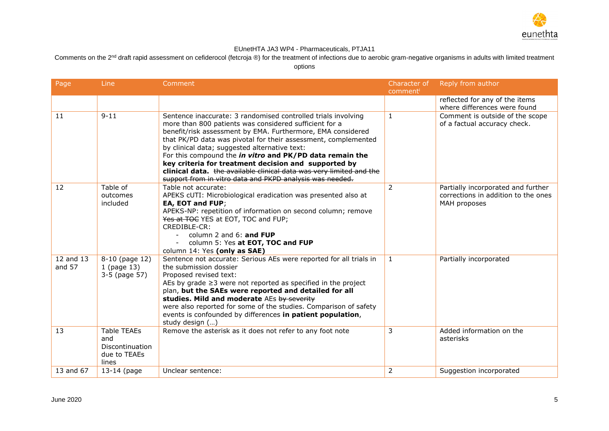

Comments on the 2<sup>nd</sup> draft rapid assessment on cefiderocol (fetcroja ®) for the treatment of infections due to aerobic gram-negative organisms in adults with limited treatment

| Page                | Line                                                                  | Comment                                                                                                                                                                                                                                                                                                                                                                                                                                                                                                                                                          | Character of   | Reply from author                                                                         |
|---------------------|-----------------------------------------------------------------------|------------------------------------------------------------------------------------------------------------------------------------------------------------------------------------------------------------------------------------------------------------------------------------------------------------------------------------------------------------------------------------------------------------------------------------------------------------------------------------------------------------------------------------------------------------------|----------------|-------------------------------------------------------------------------------------------|
|                     |                                                                       |                                                                                                                                                                                                                                                                                                                                                                                                                                                                                                                                                                  | comment        |                                                                                           |
|                     |                                                                       |                                                                                                                                                                                                                                                                                                                                                                                                                                                                                                                                                                  |                | reflected for any of the items<br>where differences were found                            |
| 11                  | $9 - 11$                                                              | Sentence inaccurate: 3 randomised controlled trials involving<br>more than 800 patients was considered sufficient for a<br>benefit/risk assessment by EMA. Furthermore, EMA considered<br>that PK/PD data was pivotal for their assessment, complemented<br>by clinical data; suggested alternative text:<br>For this compound the in vitro and PK/PD data remain the<br>key criteria for treatment decision and supported by<br>clinical data. the available clinical data was very limited and the<br>support from in vitro data and PKPD analysis was needed. | $\mathbf{1}$   | Comment is outside of the scope<br>of a factual accuracy check.                           |
| 12                  | Table of<br>outcomes<br>included                                      | Table not accurate:<br>APEKS cUTI: Microbiological eradication was presented also at<br>EA, EOT and FUP;<br>APEKS-NP: repetition of information on second column; remove<br>Yes at TOC YES at EOT, TOC and FUP;<br>CREDIBLE-CR:<br>column 2 and 6: and FUP<br>column 5: Yes at EOT, TOC and FUP<br>column 14: Yes (only as SAE)                                                                                                                                                                                                                                  | 2              | Partially incorporated and further<br>corrections in addition to the ones<br>MAH proposes |
| 12 and 13<br>and 57 | 8-10 (page 12)<br>1 (page 13)<br>3-5 (page 57)                        | Sentence not accurate: Serious AEs were reported for all trials in<br>the submission dossier<br>Proposed revised text:<br>AEs by grade $\geq$ 3 were not reported as specified in the project<br>plan, but the SAEs were reported and detailed for all<br>studies. Mild and moderate AEs by severity<br>were also reported for some of the studies. Comparison of safety<br>events is confounded by differences in patient population,<br>study design ()                                                                                                        | 1              | Partially incorporated                                                                    |
| 13                  | <b>Table TEAEs</b><br>and<br>Discontinuation<br>due to TEAEs<br>lines | Remove the asterisk as it does not refer to any foot note                                                                                                                                                                                                                                                                                                                                                                                                                                                                                                        | 3              | Added information on the<br>asterisks                                                     |
| 13 and 67           | 13-14 (page                                                           | Unclear sentence:                                                                                                                                                                                                                                                                                                                                                                                                                                                                                                                                                | $\overline{2}$ | Suggestion incorporated                                                                   |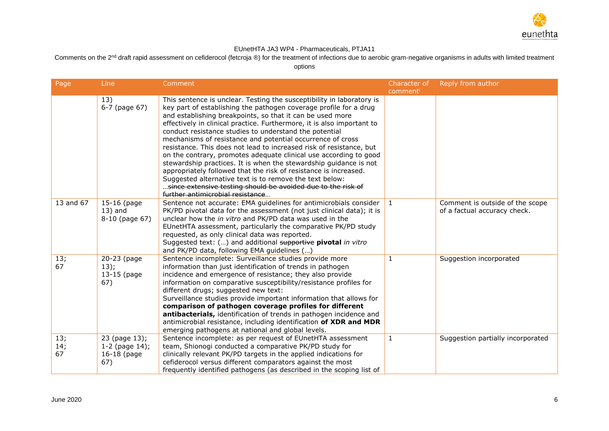

Comments on the 2<sup>nd</sup> draft rapid assessment on cefiderocol (fetcroja ®) for the treatment of infections due to aerobic gram-negative organisms in adults with limited treatment

| Page             | Line                                                    | Comment                                                                                                                                                                                                                                                                                                                                                                                                                                                                                                                                                                                                                                                                                                                                                                                                                                                       | Character of<br>comment | Reply from author                                               |
|------------------|---------------------------------------------------------|---------------------------------------------------------------------------------------------------------------------------------------------------------------------------------------------------------------------------------------------------------------------------------------------------------------------------------------------------------------------------------------------------------------------------------------------------------------------------------------------------------------------------------------------------------------------------------------------------------------------------------------------------------------------------------------------------------------------------------------------------------------------------------------------------------------------------------------------------------------|-------------------------|-----------------------------------------------------------------|
|                  | 13)<br>6-7 (page 67)                                    | This sentence is unclear. Testing the susceptibility in laboratory is<br>key part of establishing the pathogen coverage profile for a drug<br>and establishing breakpoints, so that it can be used more<br>effectively in clinical practice. Furthermore, it is also important to<br>conduct resistance studies to understand the potential<br>mechanisms of resistance and potential occurrence of cross<br>resistance. This does not lead to increased risk of resistance, but<br>on the contrary, promotes adequate clinical use according to good<br>stewardship practices. It is when the stewardship guidance is not<br>appropriately followed that the risk of resistance is increased.<br>Suggested alternative text is to remove the text below:<br>since extensive testing should be avoided due to the risk of<br>further antimicrobial resistance |                         |                                                                 |
| 13 and 67        | $15-16$ (page<br>$13)$ and<br>8-10 (page 67)            | Sentence not accurate: EMA guidelines for antimicrobials consider<br>PK/PD pivotal data for the assessment (not just clinical data); it is<br>unclear how the in vitro and PK/PD data was used in the<br>EUnetHTA assessment, particularly the comparative PK/PD study<br>requested, as only clinical data was reported.<br>Suggested text: () and additional supportive pivotal in vitro<br>and PK/PD data, following EMA guidelines ()                                                                                                                                                                                                                                                                                                                                                                                                                      | 1                       | Comment is outside of the scope<br>of a factual accuracy check. |
| 13;<br>67        | $20-23$ (page<br>13);<br>13-15 (page<br>67)             | Sentence incomplete: Surveillance studies provide more<br>information than just identification of trends in pathogen<br>incidence and emergence of resistance; they also provide<br>information on comparative susceptibility/resistance profiles for<br>different drugs; suggested new text:<br>Surveillance studies provide important information that allows for<br>comparison of pathogen coverage profiles for different<br>antibacterials, identification of trends in pathogen incidence and<br>antimicrobial resistance, including identification of XDR and MDR<br>emerging pathogens at national and global levels.                                                                                                                                                                                                                                 | 1                       | Suggestion incorporated                                         |
| 13;<br>14;<br>67 | 23 (page 13);<br>$1-2$ (page 14);<br>16-18 (page<br>67) | Sentence incomplete: as per request of EUnetHTA assessment<br>team, Shionogi conducted a comparative PK/PD study for<br>clinically relevant PK/PD targets in the applied indications for<br>cefiderocol versus different comparators against the most<br>frequently identified pathogens (as described in the scoping list of                                                                                                                                                                                                                                                                                                                                                                                                                                                                                                                                 | $\mathbf{1}$            | Suggestion partially incorporated                               |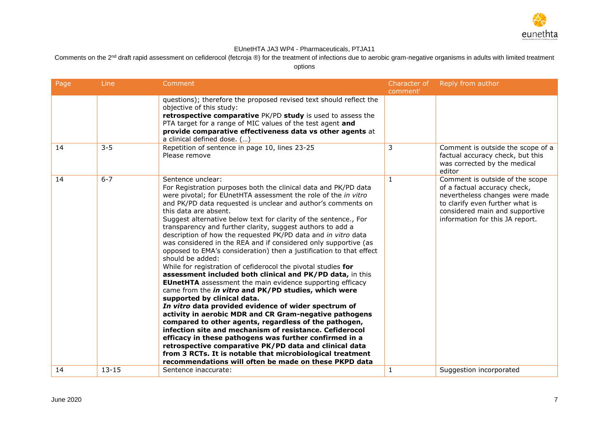

Comments on the 2<sup>nd</sup> draft rapid assessment on cefiderocol (fetcroja ®) for the treatment of infections due to aerobic gram-negative organisms in adults with limited treatment

| Page | Line      | Comment                                                                                                                                                                                                                                                                                                                                                                                                                                                                                                                                                                                                                                                                                                                                                                                                                                                                                                                                                                                                                                                                                                                                                                                                                                                                                                                                                                                   | Character of | Reply from author                                                                                                                                                                                         |
|------|-----------|-------------------------------------------------------------------------------------------------------------------------------------------------------------------------------------------------------------------------------------------------------------------------------------------------------------------------------------------------------------------------------------------------------------------------------------------------------------------------------------------------------------------------------------------------------------------------------------------------------------------------------------------------------------------------------------------------------------------------------------------------------------------------------------------------------------------------------------------------------------------------------------------------------------------------------------------------------------------------------------------------------------------------------------------------------------------------------------------------------------------------------------------------------------------------------------------------------------------------------------------------------------------------------------------------------------------------------------------------------------------------------------------|--------------|-----------------------------------------------------------------------------------------------------------------------------------------------------------------------------------------------------------|
|      |           | questions); therefore the proposed revised text should reflect the<br>objective of this study:<br>retrospective comparative PK/PD study is used to assess the<br>PTA target for a range of MIC values of the test agent and<br>provide comparative effectiveness data vs other agents at<br>a clinical defined dose. ()                                                                                                                                                                                                                                                                                                                                                                                                                                                                                                                                                                                                                                                                                                                                                                                                                                                                                                                                                                                                                                                                   | comment      |                                                                                                                                                                                                           |
| 14   | $3 - 5$   | Repetition of sentence in page 10, lines 23-25<br>Please remove                                                                                                                                                                                                                                                                                                                                                                                                                                                                                                                                                                                                                                                                                                                                                                                                                                                                                                                                                                                                                                                                                                                                                                                                                                                                                                                           | 3            | Comment is outside the scope of a<br>factual accuracy check, but this<br>was corrected by the medical<br>editor                                                                                           |
| 14   | $6 - 7$   | Sentence unclear:<br>For Registration purposes both the clinical data and PK/PD data<br>were pivotal; for EUnetHTA assessment the role of the in vitro<br>and PK/PD data requested is unclear and author's comments on<br>this data are absent.<br>Suggest alternative below text for clarity of the sentence., For<br>transparency and further clarity, suggest authors to add a<br>description of how the requested PK/PD data and in vitro data<br>was considered in the REA and if considered only supportive (as<br>opposed to EMA's consideration) then a justification to that effect<br>should be added:<br>While for registration of cefiderocol the pivotal studies for<br>assessment included both clinical and PK/PD data, in this<br><b>EUnetHTA</b> assessment the main evidence supporting efficacy<br>came from the in vitro and PK/PD studies, which were<br>supported by clinical data.<br>In vitro data provided evidence of wider spectrum of<br>activity in aerobic MDR and CR Gram-negative pathogens<br>compared to other agents, regardless of the pathogen,<br>infection site and mechanism of resistance. Cefiderocol<br>efficacy in these pathogens was further confirmed in a<br>retrospective comparative PK/PD data and clinical data<br>from 3 RCTs. It is notable that microbiological treatment<br>recommendations will often be made on these PKPD data | 1            | Comment is outside of the scope<br>of a factual accuracy check,<br>nevertheless changes were made<br>to clarify even further what is<br>considered main and supportive<br>information for this JA report. |
| 14   | $13 - 15$ | Sentence inaccurate:                                                                                                                                                                                                                                                                                                                                                                                                                                                                                                                                                                                                                                                                                                                                                                                                                                                                                                                                                                                                                                                                                                                                                                                                                                                                                                                                                                      | 1            | Suggestion incorporated                                                                                                                                                                                   |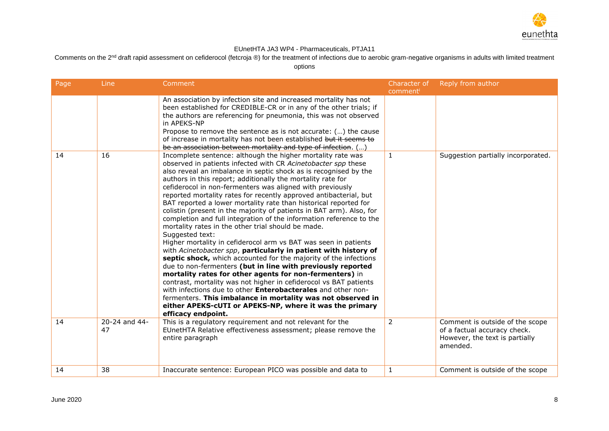

Comments on the 2<sup>nd</sup> draft rapid assessment on cefiderocol (fetcroja ®) for the treatment of infections due to aerobic gram-negative organisms in adults with limited treatment

| Page | Line                | Comment                                                                                                                                                                                                                                                                                                                                                                                                                                                                                                                                                                                                                                                                                                                                                                                                                                                                                                                                                                                                                                                                                                                                                                                                                                                                                                                       | Character of<br>comment | Reply from author                                                                                             |
|------|---------------------|-------------------------------------------------------------------------------------------------------------------------------------------------------------------------------------------------------------------------------------------------------------------------------------------------------------------------------------------------------------------------------------------------------------------------------------------------------------------------------------------------------------------------------------------------------------------------------------------------------------------------------------------------------------------------------------------------------------------------------------------------------------------------------------------------------------------------------------------------------------------------------------------------------------------------------------------------------------------------------------------------------------------------------------------------------------------------------------------------------------------------------------------------------------------------------------------------------------------------------------------------------------------------------------------------------------------------------|-------------------------|---------------------------------------------------------------------------------------------------------------|
|      |                     | An association by infection site and increased mortality has not<br>been established for CREDIBLE-CR or in any of the other trials; if<br>the authors are referencing for pneumonia, this was not observed<br>in APEKS-NP<br>Propose to remove the sentence as is not accurate: () the cause<br>of increase in mortality has not been established but it seems to<br>be an association between mortality and type of infection. ()                                                                                                                                                                                                                                                                                                                                                                                                                                                                                                                                                                                                                                                                                                                                                                                                                                                                                            |                         |                                                                                                               |
| 14   | 16                  | Incomplete sentence: although the higher mortality rate was<br>observed in patients infected with CR Acinetobacter spp these<br>also reveal an imbalance in septic shock as is recognised by the<br>authors in this report; additionally the mortality rate for<br>cefiderocol in non-fermenters was aligned with previously<br>reported mortality rates for recently approved antibacterial, but<br>BAT reported a lower mortality rate than historical reported for<br>colistin (present in the majority of patients in BAT arm). Also, for<br>completion and full integration of the information reference to the<br>mortality rates in the other trial should be made.<br>Suggested text:<br>Higher mortality in cefiderocol arm vs BAT was seen in patients<br>with Acinetobacter spp, particularly in patient with history of<br>septic shock, which accounted for the majority of the infections<br>due to non-fermenters (but in line with previously reported<br>mortality rates for other agents for non-fermenters) in<br>contrast, mortality was not higher in cefiderocol vs BAT patients<br>with infections due to other <b>Enterobacterales</b> and other non-<br>fermenters. This imbalance in mortality was not observed in<br>either APEKS-cUTI or APEKS-NP, where it was the primary<br>efficacy endpoint. | 1                       | Suggestion partially incorporated.                                                                            |
| 14   | 20-24 and 44-<br>47 | This is a regulatory requirement and not relevant for the<br>EUnetHTA Relative effectiveness assessment; please remove the<br>entire paragraph                                                                                                                                                                                                                                                                                                                                                                                                                                                                                                                                                                                                                                                                                                                                                                                                                                                                                                                                                                                                                                                                                                                                                                                | $\overline{2}$          | Comment is outside of the scope<br>of a factual accuracy check.<br>However, the text is partially<br>amended. |
| 14   | 38                  | Inaccurate sentence: European PICO was possible and data to                                                                                                                                                                                                                                                                                                                                                                                                                                                                                                                                                                                                                                                                                                                                                                                                                                                                                                                                                                                                                                                                                                                                                                                                                                                                   | 1                       | Comment is outside of the scope                                                                               |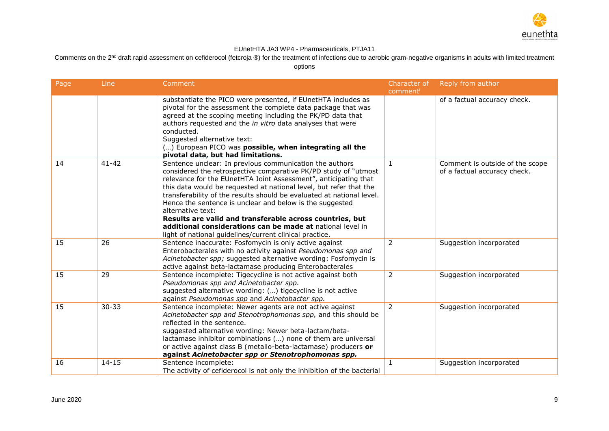

Comments on the 2<sup>nd</sup> draft rapid assessment on cefiderocol (fetcroja ®) for the treatment of infections due to aerobic gram-negative organisms in adults with limited treatment

| Page | Line      | Comment                                                                                                                                                                                                                                                                                                                                                                                                                                                                                                                                                                                                            | Character of<br>comment | Reply from author                                               |
|------|-----------|--------------------------------------------------------------------------------------------------------------------------------------------------------------------------------------------------------------------------------------------------------------------------------------------------------------------------------------------------------------------------------------------------------------------------------------------------------------------------------------------------------------------------------------------------------------------------------------------------------------------|-------------------------|-----------------------------------------------------------------|
|      |           | substantiate the PICO were presented, if EUnetHTA includes as<br>pivotal for the assessment the complete data package that was<br>agreed at the scoping meeting including the PK/PD data that<br>authors requested and the in vitro data analyses that were<br>conducted.<br>Suggested alternative text:<br>() European PICO was possible, when integrating all the<br>pivotal data, but had limitations.                                                                                                                                                                                                          |                         | of a factual accuracy check.                                    |
| 14   | $41 - 42$ | Sentence unclear: In previous communication the authors<br>considered the retrospective comparative PK/PD study of "utmost<br>relevance for the EUnetHTA Joint Assessment", anticipating that<br>this data would be requested at national level, but refer that the<br>transferability of the results should be evaluated at national level.<br>Hence the sentence is unclear and below is the suggested<br>alternative text:<br>Results are valid and transferable across countries, but<br>additional considerations can be made at national level in<br>light of national guidelines/current clinical practice. | $\mathbf{1}$            | Comment is outside of the scope<br>of a factual accuracy check. |
| 15   | 26        | Sentence inaccurate: Fosfomycin is only active against<br>Enterobacterales with no activity against Pseudomonas spp and<br>Acinetobacter spp; suggested alternative wording: Fosfomycin is<br>active against beta-lactamase producing Enterobacterales                                                                                                                                                                                                                                                                                                                                                             | $\overline{2}$          | Suggestion incorporated                                         |
| 15   | 29        | Sentence incomplete: Tigecycline is not active against both<br>Pseudomonas spp and Acinetobacter spp.<br>suggested alternative wording: () tigecycline is not active<br>against Pseudomonas spp and Acinetobacter spp.                                                                                                                                                                                                                                                                                                                                                                                             | $\overline{2}$          | Suggestion incorporated                                         |
| 15   | $30 - 33$ | Sentence incomplete: Newer agents are not active against<br>Acinetobacter spp and Stenotrophomonas spp, and this should be<br>reflected in the sentence.<br>suggested alternative wording: Newer beta-lactam/beta-<br>lactamase inhibitor combinations () none of them are universal<br>or active against class B (metallo-beta-lactamase) producers or<br>against Acinetobacter spp or Stenotrophomonas spp.                                                                                                                                                                                                      | $\overline{2}$          | Suggestion incorporated                                         |
| 16   | $14 - 15$ | Sentence incomplete:<br>The activity of cefiderocol is not only the inhibition of the bacterial                                                                                                                                                                                                                                                                                                                                                                                                                                                                                                                    | $\mathbf{1}$            | Suggestion incorporated                                         |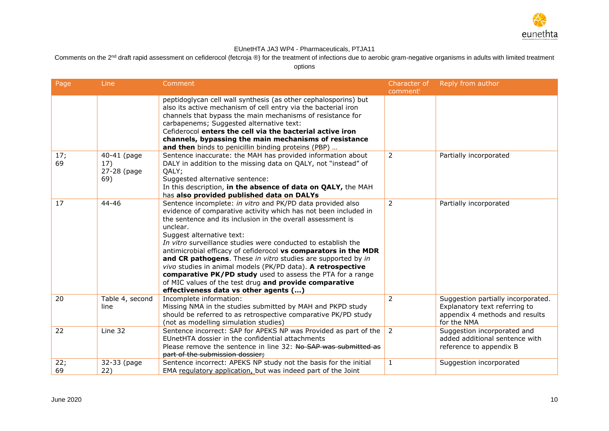

Comments on the 2<sup>nd</sup> draft rapid assessment on cefiderocol (fetcroja ®) for the treatment of infections due to aerobic gram-negative organisms in adults with limited treatment

| Page      | Line                                     | Comment                                                                                                                                                                                                                                                                                                                                                                                                                                                                                                                                                                                                                                                                   | Character of<br>comment | Reply from author                                                                                                    |
|-----------|------------------------------------------|---------------------------------------------------------------------------------------------------------------------------------------------------------------------------------------------------------------------------------------------------------------------------------------------------------------------------------------------------------------------------------------------------------------------------------------------------------------------------------------------------------------------------------------------------------------------------------------------------------------------------------------------------------------------------|-------------------------|----------------------------------------------------------------------------------------------------------------------|
|           |                                          | peptidoglycan cell wall synthesis (as other cephalosporins) but<br>also its active mechanism of cell entry via the bacterial iron<br>channels that bypass the main mechanisms of resistance for<br>carbapenems; Suggested alternative text:<br>Cefiderocol enters the cell via the bacterial active iron<br>channels, bypassing the main mechanisms of resistance<br>and then binds to penicillin binding proteins (PBP)                                                                                                                                                                                                                                                  |                         |                                                                                                                      |
| 17;<br>69 | 40-41 (page<br>17)<br>27-28 (page<br>69) | Sentence inaccurate: the MAH has provided information about<br>DALY in addition to the missing data on QALY, not "instead" of<br>QALY;<br>Suggested alternative sentence:<br>In this description, in the absence of data on QALY, the MAH<br>has also provided published data on DALYs                                                                                                                                                                                                                                                                                                                                                                                    | 2                       | Partially incorporated                                                                                               |
| 17        | 44-46                                    | Sentence incomplete: in vitro and PK/PD data provided also<br>evidence of comparative activity which has not been included in<br>the sentence and its inclusion in the overall assessment is<br>unclear.<br>Suggest alternative text:<br>In vitro surveillance studies were conducted to establish the<br>antimicrobial efficacy of cefiderocol vs comparators in the MDR<br>and CR pathogens. These in vitro studies are supported by in<br>vivo studies in animal models (PK/PD data). A retrospective<br>comparative PK/PD study used to assess the PTA for a range<br>of MIC values of the test drug and provide comparative<br>effectiveness data vs other agents () | 2                       | Partially incorporated                                                                                               |
| 20        | Table 4, second<br>line                  | Incomplete information:<br>Missing NMA in the studies submitted by MAH and PKPD study<br>should be referred to as retrospective comparative PK/PD study<br>(not as modelling simulation studies)                                                                                                                                                                                                                                                                                                                                                                                                                                                                          | $\overline{2}$          | Suggestion partially incorporated.<br>Explanatory text referring to<br>appendix 4 methods and results<br>for the NMA |
| 22        | Line 32                                  | Sentence incorrect: SAP for APEKS NP was Provided as part of the<br>EUnetHTA dossier in the confidential attachments<br>Please remove the sentence in line 32: No SAP was submitted as<br>part of the submission dossier;                                                                                                                                                                                                                                                                                                                                                                                                                                                 | $\overline{2}$          | Suggestion incorporated and<br>added additional sentence with<br>reference to appendix B                             |
| 22;<br>69 | 32-33 (page<br>22)                       | Sentence incorrect: APEKS NP study not the basis for the initial<br>EMA regulatory application, but was indeed part of the Joint                                                                                                                                                                                                                                                                                                                                                                                                                                                                                                                                          | $\mathbf{1}$            | Suggestion incorporated                                                                                              |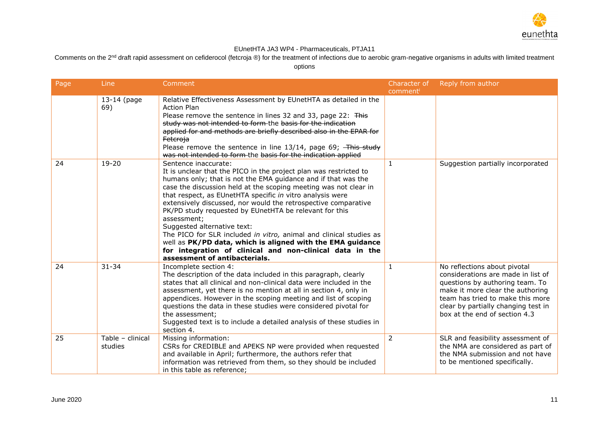

Comments on the 2<sup>nd</sup> draft rapid assessment on cefiderocol (fetcroja ®) for the treatment of infections due to aerobic gram-negative organisms in adults with limited treatment

| Page | Line                        | Comment                                                                                                                                                                                                                                                                                                                                                                                                                                                                                                                                                                                                                                                                                                | Character of<br>comment | Reply from author                                                                                                                                                                                                                                     |
|------|-----------------------------|--------------------------------------------------------------------------------------------------------------------------------------------------------------------------------------------------------------------------------------------------------------------------------------------------------------------------------------------------------------------------------------------------------------------------------------------------------------------------------------------------------------------------------------------------------------------------------------------------------------------------------------------------------------------------------------------------------|-------------------------|-------------------------------------------------------------------------------------------------------------------------------------------------------------------------------------------------------------------------------------------------------|
|      | 13-14 (page<br>69)          | Relative Effectiveness Assessment by EUnetHTA as detailed in the<br><b>Action Plan</b><br>Please remove the sentence in lines 32 and 33, page 22: This<br>study was not intended to form-the basis for the indication<br>applied for and methods are briefly described also in the EPAR for<br><b>Fetcroja</b><br>Please remove the sentence in line 13/14, page 69; This study<br>was not intended to form the basis for the indication applied                                                                                                                                                                                                                                                       |                         |                                                                                                                                                                                                                                                       |
| 24   | $19 - 20$                   | Sentence inaccurate:<br>It is unclear that the PICO in the project plan was restricted to<br>humans only; that is not the EMA guidance and if that was the<br>case the discussion held at the scoping meeting was not clear in<br>that respect, as EUnetHTA specific in vitro analysis were<br>extensively discussed, nor would the retrospective comparative<br>PK/PD study requested by EUnetHTA be relevant for this<br>assessment;<br>Suggested alternative text:<br>The PICO for SLR included in vitro, animal and clinical studies as<br>well as PK/PD data, which is aligned with the EMA guidance<br>for integration of clinical and non-clinical data in the<br>assessment of antibacterials. | $\mathbf{1}$            | Suggestion partially incorporated                                                                                                                                                                                                                     |
| 24   | $31 - 34$                   | Incomplete section 4:<br>The description of the data included in this paragraph, clearly<br>states that all clinical and non-clinical data were included in the<br>assessment, yet there is no mention at all in section 4, only in<br>appendices. However in the scoping meeting and list of scoping<br>questions the data in these studies were considered pivotal for<br>the assessment;<br>Suggested text is to include a detailed analysis of these studies in<br>section 4.                                                                                                                                                                                                                      | $\mathbf{1}$            | No reflections about pivotal<br>considerations are made in list of<br>questions by authoring team. To<br>make it more clear the authoring<br>team has tried to make this more<br>clear by partially changing test in<br>box at the end of section 4.3 |
| 25   | Table - clinical<br>studies | Missing information:<br>CSRs for CREDIBLE and APEKS NP were provided when requested<br>and available in April; furthermore, the authors refer that<br>information was retrieved from them, so they should be included<br>in this table as reference;                                                                                                                                                                                                                                                                                                                                                                                                                                                   | 2                       | SLR and feasibility assessment of<br>the NMA are considered as part of<br>the NMA submission and not have<br>to be mentioned specifically.                                                                                                            |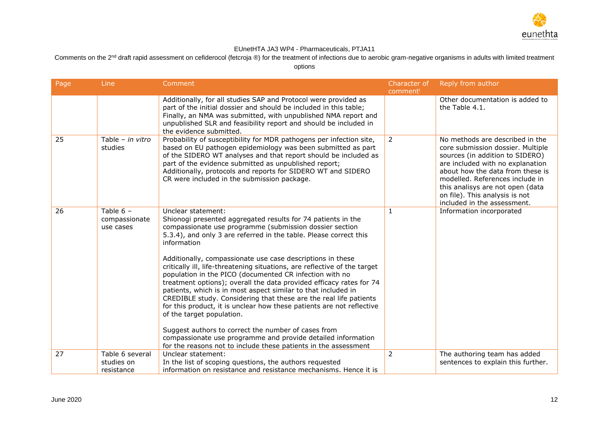

Comments on the 2<sup>nd</sup> draft rapid assessment on cefiderocol (fetcroja ®) for the treatment of infections due to aerobic gram-negative organisms in adults with limited treatment

| Page | Line                                        | Comment                                                                                                                                                                                                                                                                                                                                                                                                                                                                                                                                                                                                                                                                                                                                                                                                                                                                                                                                              | Character of   | Reply from author                                                                                                                                                                                                                                                                                                       |
|------|---------------------------------------------|------------------------------------------------------------------------------------------------------------------------------------------------------------------------------------------------------------------------------------------------------------------------------------------------------------------------------------------------------------------------------------------------------------------------------------------------------------------------------------------------------------------------------------------------------------------------------------------------------------------------------------------------------------------------------------------------------------------------------------------------------------------------------------------------------------------------------------------------------------------------------------------------------------------------------------------------------|----------------|-------------------------------------------------------------------------------------------------------------------------------------------------------------------------------------------------------------------------------------------------------------------------------------------------------------------------|
|      |                                             |                                                                                                                                                                                                                                                                                                                                                                                                                                                                                                                                                                                                                                                                                                                                                                                                                                                                                                                                                      | comment        |                                                                                                                                                                                                                                                                                                                         |
|      |                                             | Additionally, for all studies SAP and Protocol were provided as<br>part of the initial dossier and should be included in this table;<br>Finally, an NMA was submitted, with unpublished NMA report and<br>unpublished SLR and feasibility report and should be included in<br>the evidence submitted.                                                                                                                                                                                                                                                                                                                                                                                                                                                                                                                                                                                                                                                |                | Other documentation is added to<br>the Table 4.1.                                                                                                                                                                                                                                                                       |
| 25   | Table - in vitro<br>studies                 | Probability of susceptibility for MDR pathogens per infection site,<br>based on EU pathogen epidemiology was been submitted as part<br>of the SIDERO WT analyses and that report should be included as<br>part of the evidence submitted as unpublished report;<br>Additionally, protocols and reports for SIDERO WT and SIDERO<br>CR were included in the submission package.                                                                                                                                                                                                                                                                                                                                                                                                                                                                                                                                                                       | $\overline{2}$ | No methods are described in the<br>core submission dossier. Multiple<br>sources (in addition to SIDERO)<br>are included with no explanation<br>about how the data from these is<br>modelled. References include in<br>this analisys are not open (data<br>on file). This analysis is not<br>included in the assessment. |
| 26   | Table $6 -$<br>compassionate<br>use cases   | Unclear statement:<br>Shionogi presented aggregated results for 74 patients in the<br>compassionate use programme (submission dossier section<br>5.3.4), and only 3 are referred in the table. Please correct this<br>information<br>Additionally, compassionate use case descriptions in these<br>critically ill, life-threatening situations, are reflective of the target<br>population in the PICO (documented CR infection with no<br>treatment options); overall the data provided efficacy rates for 74<br>patients, which is in most aspect similar to that included in<br>CREDIBLE study. Considering that these are the real life patients<br>for this product, it is unclear how these patients are not reflective<br>of the target population.<br>Suggest authors to correct the number of cases from<br>compassionate use programme and provide detailed information<br>for the reasons not to include these patients in the assessment | $\mathbf{1}$   | Information incorporated                                                                                                                                                                                                                                                                                                |
| 27   | Table 6 several<br>studies on<br>resistance | Unclear statement:<br>In the list of scoping questions, the authors requested<br>information on resistance and resistance mechanisms. Hence it is                                                                                                                                                                                                                                                                                                                                                                                                                                                                                                                                                                                                                                                                                                                                                                                                    | 2              | The authoring team has added<br>sentences to explain this further.                                                                                                                                                                                                                                                      |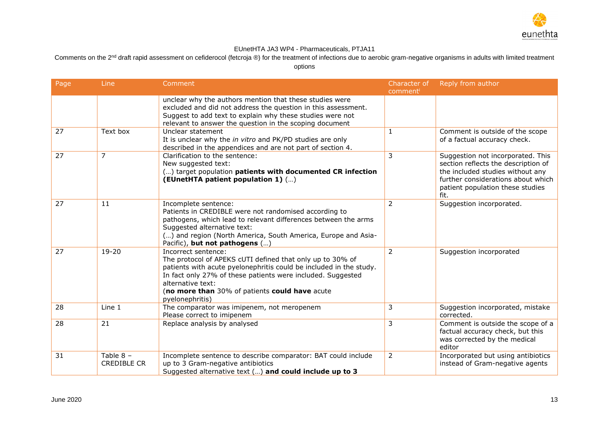

Comments on the 2<sup>nd</sup> draft rapid assessment on cefiderocol (fetcroja ®) for the treatment of infections due to aerobic gram-negative organisms in adults with limited treatment

| Page | Line                              | Comment                                                                                                                                                                                                                                                                                                         | Character of<br>comment | Reply from author                                                                                                                                                                              |
|------|-----------------------------------|-----------------------------------------------------------------------------------------------------------------------------------------------------------------------------------------------------------------------------------------------------------------------------------------------------------------|-------------------------|------------------------------------------------------------------------------------------------------------------------------------------------------------------------------------------------|
|      |                                   | unclear why the authors mention that these studies were<br>excluded and did not address the question in this assessment.<br>Suggest to add text to explain why these studies were not<br>relevant to answer the question in the scoping document                                                                |                         |                                                                                                                                                                                                |
| 27   | Text box                          | Unclear statement<br>It is unclear why the in vitro and PK/PD studies are only<br>described in the appendices and are not part of section 4.                                                                                                                                                                    | 1                       | Comment is outside of the scope<br>of a factual accuracy check.                                                                                                                                |
| 27   | $\overline{7}$                    | Clarification to the sentence:<br>New suggested text:<br>() target population patients with documented CR infection<br>(EUnetHTA patient population 1) ()                                                                                                                                                       | 3                       | Suggestion not incorporated. This<br>section reflects the description of<br>the included studies without any<br>further considerations about which<br>patient population these studies<br>fit. |
| 27   | 11                                | Incomplete sentence:<br>Patients in CREDIBLE were not randomised according to<br>pathogens, which lead to relevant differences between the arms<br>Suggested alternative text:<br>() and region (North America, South America, Europe and Asia-<br>Pacific), but not pathogens ()                               | $\overline{2}$          | Suggestion incorporated.                                                                                                                                                                       |
| 27   | $19 - 20$                         | Incorrect sentence:<br>The protocol of APEKS cUTI defined that only up to 30% of<br>patients with acute pyelonephritis could be included in the study.<br>In fact only 27% of these patients were included. Suggested<br>alternative text:<br>(no more than 30% of patients could have acute<br>pyelonephritis) | 2                       | Suggestion incorporated                                                                                                                                                                        |
| 28   | Line 1                            | The comparator was imipenem, not meropenem<br>Please correct to imipenem                                                                                                                                                                                                                                        | 3                       | Suggestion incorporated, mistake<br>corrected.                                                                                                                                                 |
| 28   | 21                                | Replace analysis by analysed                                                                                                                                                                                                                                                                                    | 3                       | Comment is outside the scope of a<br>factual accuracy check, but this<br>was corrected by the medical<br>editor                                                                                |
| 31   | Table $8 -$<br><b>CREDIBLE CR</b> | Incomplete sentence to describe comparator: BAT could include<br>up to 3 Gram-negative antibiotics<br>Suggested alternative text () and could include up to 3                                                                                                                                                   | $\overline{2}$          | Incorporated but using antibiotics<br>instead of Gram-negative agents                                                                                                                          |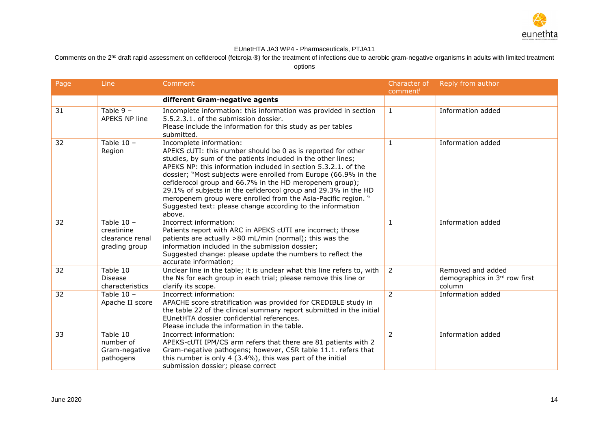

Comments on the 2<sup>nd</sup> draft rapid assessment on cefiderocol (fetcroja ®) for the treatment of infections due to aerobic gram-negative organisms in adults with limited treatment

| Page | Line                                                           | Comment                                                                                                                                                                                                                                                                                                                                                                                                                                                                                                                                                            | Character of   | Reply from author                                            |
|------|----------------------------------------------------------------|--------------------------------------------------------------------------------------------------------------------------------------------------------------------------------------------------------------------------------------------------------------------------------------------------------------------------------------------------------------------------------------------------------------------------------------------------------------------------------------------------------------------------------------------------------------------|----------------|--------------------------------------------------------------|
|      |                                                                |                                                                                                                                                                                                                                                                                                                                                                                                                                                                                                                                                                    | comment        |                                                              |
|      |                                                                | different Gram-negative agents                                                                                                                                                                                                                                                                                                                                                                                                                                                                                                                                     |                |                                                              |
| 31   | Table $9 -$<br>APEKS NP line                                   | Incomplete information: this information was provided in section<br>5.5.2.3.1, of the submission dossier.<br>Please include the information for this study as per tables<br>submitted.                                                                                                                                                                                                                                                                                                                                                                             | $\mathbf{1}$   | Information added                                            |
| 32   | Table $10 -$<br>Region                                         | Incomplete information:<br>APEKS cUTI: this number should be 0 as is reported for other<br>studies, by sum of the patients included in the other lines;<br>APEKS NP: this information included in section 5.3.2.1. of the<br>dossier; "Most subjects were enrolled from Europe (66.9% in the<br>cefiderocol group and 66.7% in the HD meropenem group);<br>29.1% of subjects in the cefiderocol group and 29.3% in the HD<br>meropenem group were enrolled from the Asia-Pacific region. "<br>Suggested text: please change according to the information<br>above. | $\mathbf{1}$   | Information added                                            |
| 32   | Table $10 -$<br>creatinine<br>clearance renal<br>grading group | Incorrect information:<br>Patients report with ARC in APEKS cUTI are incorrect; those<br>patients are actually >80 mL/min (normal); this was the<br>information included in the submission dossier;<br>Suggested change: please update the numbers to reflect the<br>accurate information;                                                                                                                                                                                                                                                                         | 1              | Information added                                            |
| 32   | Table 10<br><b>Disease</b><br>characteristics                  | Unclear line in the table; it is unclear what this line refers to, with<br>the Ns for each group in each trial; please remove this line or<br>clarify its scope.                                                                                                                                                                                                                                                                                                                                                                                                   | $\overline{2}$ | Removed and added<br>demographics in 3rd row first<br>column |
| 32   | Table $10 -$<br>Apache II score                                | Incorrect information:<br>APACHE score stratification was provided for CREDIBLE study in<br>the table 22 of the clinical summary report submitted in the initial<br>EUnetHTA dossier confidential references.<br>Please include the information in the table.                                                                                                                                                                                                                                                                                                      | $\overline{2}$ | Information added                                            |
| 33   | Table 10<br>number of<br>Gram-negative<br>pathogens            | Incorrect information:<br>APEKS-cUTI IPM/CS arm refers that there are 81 patients with 2<br>Gram-negative pathogens; however, CSR table 11.1. refers that<br>this number is only 4 (3.4%), this was part of the initial<br>submission dossier; please correct                                                                                                                                                                                                                                                                                                      | $\overline{2}$ | Information added                                            |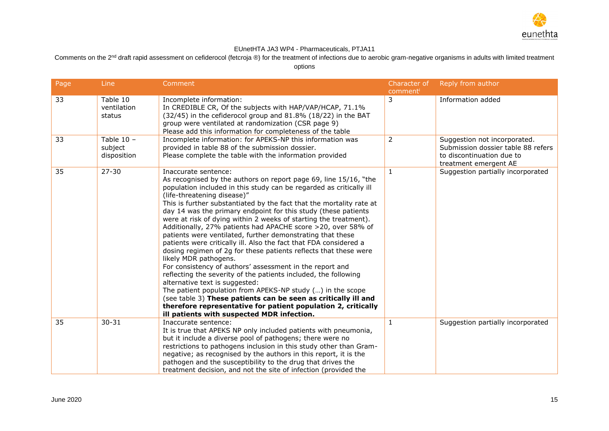

Comments on the 2<sup>nd</sup> draft rapid assessment on cefiderocol (fetcroja ®) for the treatment of infections due to aerobic gram-negative organisms in adults with limited treatment

| Page | Line                                   | Comment                                                                                                                                                                                                                                                                                                                                                                                                                                                                                                                                                                                                                                                                                                                                                                                                                                                                                                                                                                                                                                                                                                                      | Character of<br>comment | Reply from author                                                                                                        |
|------|----------------------------------------|------------------------------------------------------------------------------------------------------------------------------------------------------------------------------------------------------------------------------------------------------------------------------------------------------------------------------------------------------------------------------------------------------------------------------------------------------------------------------------------------------------------------------------------------------------------------------------------------------------------------------------------------------------------------------------------------------------------------------------------------------------------------------------------------------------------------------------------------------------------------------------------------------------------------------------------------------------------------------------------------------------------------------------------------------------------------------------------------------------------------------|-------------------------|--------------------------------------------------------------------------------------------------------------------------|
| 33   | Table 10<br>ventilation<br>status      | Incomplete information:<br>In CREDIBLE CR, Of the subjects with HAP/VAP/HCAP, 71.1%<br>(32/45) in the cefiderocol group and 81.8% (18/22) in the BAT<br>group were ventilated at randomization (CSR page 9)<br>Please add this information for completeness of the table                                                                                                                                                                                                                                                                                                                                                                                                                                                                                                                                                                                                                                                                                                                                                                                                                                                     | 3                       | Information added                                                                                                        |
| 33   | Table $10 -$<br>subject<br>disposition | Incomplete information: for APEKS-NP this information was<br>provided in table 88 of the submission dossier.<br>Please complete the table with the information provided                                                                                                                                                                                                                                                                                                                                                                                                                                                                                                                                                                                                                                                                                                                                                                                                                                                                                                                                                      | 2                       | Suggestion not incorporated.<br>Submission dossier table 88 refers<br>to discontinuation due to<br>treatment emergent AE |
| 35   | $27 - 30$                              | Inaccurate sentence:<br>As recognised by the authors on report page 69, line 15/16, "the<br>population included in this study can be regarded as critically ill<br>(life-threatening disease)"<br>This is further substantiated by the fact that the mortality rate at<br>day 14 was the primary endpoint for this study (these patients<br>were at risk of dying within 2 weeks of starting the treatment).<br>Additionally, 27% patients had APACHE score >20, over 58% of<br>patients were ventilated, further demonstrating that these<br>patients were critically ill. Also the fact that FDA considered a<br>dosing regimen of 2g for these patients reflects that these were<br>likely MDR pathogens.<br>For consistency of authors' assessment in the report and<br>reflecting the severity of the patients included, the following<br>alternative text is suggested:<br>The patient population from APEKS-NP study () in the scope<br>(see table 3) These patients can be seen as critically ill and<br>therefore representative for patient population 2, critically<br>ill patients with suspected MDR infection. | $\mathbf{1}$            | Suggestion partially incorporated                                                                                        |
| 35   | $30 - 31$                              | Inaccurate sentence:<br>It is true that APEKS NP only included patients with pneumonia,<br>but it include a diverse pool of pathogens; there were no<br>restrictions to pathogens inclusion in this study other than Gram-<br>negative; as recognised by the authors in this report, it is the<br>pathogen and the susceptibility to the drug that drives the<br>treatment decision, and not the site of infection (provided the                                                                                                                                                                                                                                                                                                                                                                                                                                                                                                                                                                                                                                                                                             | $\mathbf{1}$            | Suggestion partially incorporated                                                                                        |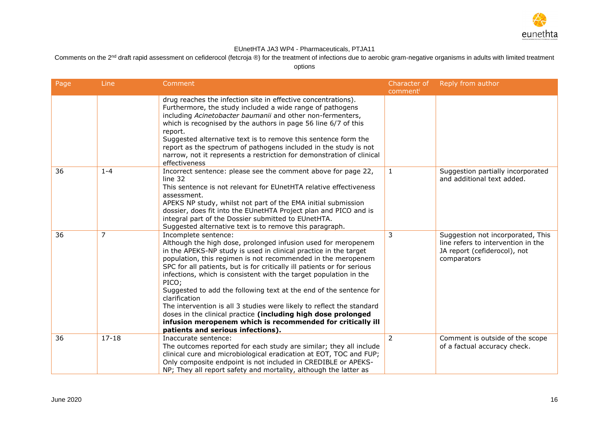

Comments on the 2<sup>nd</sup> draft rapid assessment on cefiderocol (fetcroja ®) for the treatment of infections due to aerobic gram-negative organisms in adults with limited treatment

| Page | Line           | Comment                                                                                                                                                                                                                                                                                                                                                                                                                                                                                                                                                                                                                                                                                                                | Character of<br>comment | Reply from author                                                                                                      |
|------|----------------|------------------------------------------------------------------------------------------------------------------------------------------------------------------------------------------------------------------------------------------------------------------------------------------------------------------------------------------------------------------------------------------------------------------------------------------------------------------------------------------------------------------------------------------------------------------------------------------------------------------------------------------------------------------------------------------------------------------------|-------------------------|------------------------------------------------------------------------------------------------------------------------|
|      |                | drug reaches the infection site in effective concentrations).<br>Furthermore, the study included a wide range of pathogens<br>including Acinetobacter baumanii and other non-fermenters,<br>which is recognised by the authors in page 56 line 6/7 of this<br>report.<br>Suggested alternative text is to remove this sentence form the<br>report as the spectrum of pathogens included in the study is not<br>narrow, not it represents a restriction for demonstration of clinical<br>effectiveness                                                                                                                                                                                                                  |                         |                                                                                                                        |
| 36   | $1 - 4$        | Incorrect sentence: please see the comment above for page 22,<br>line 32<br>This sentence is not relevant for EUnetHTA relative effectiveness<br>assessment.<br>APEKS NP study, whilst not part of the EMA initial submission<br>dossier, does fit into the EUnetHTA Project plan and PICO and is<br>integral part of the Dossier submitted to EUnetHTA.<br>Suggested alternative text is to remove this paragraph.                                                                                                                                                                                                                                                                                                    | $\mathbf{1}$            | Suggestion partially incorporated<br>and additional text added.                                                        |
| 36   | $\overline{7}$ | Incomplete sentence:<br>Although the high dose, prolonged infusion used for meropenem<br>in the APEKS-NP study is used in clinical practice in the target<br>population, this regimen is not recommended in the meropenem<br>SPC for all patients, but is for critically ill patients or for serious<br>infections, which is consistent with the target population in the<br>PICO;<br>Suggested to add the following text at the end of the sentence for<br>clarification<br>The intervention is all 3 studies were likely to reflect the standard<br>doses in the clinical practice (including high dose prolonged<br>infusion meropenem which is recommended for critically ill<br>patients and serious infections). | 3                       | Suggestion not incorporated, This<br>line refers to intervention in the<br>JA report (cefiderocol), not<br>comparators |
| 36   | $17 - 18$      | Inaccurate sentence:<br>The outcomes reported for each study are similar; they all include<br>clinical cure and microbiological eradication at EOT, TOC and FUP;<br>Only composite endpoint is not included in CREDIBLE or APEKS-<br>NP; They all report safety and mortality, although the latter as                                                                                                                                                                                                                                                                                                                                                                                                                  | $\overline{2}$          | Comment is outside of the scope<br>of a factual accuracy check.                                                        |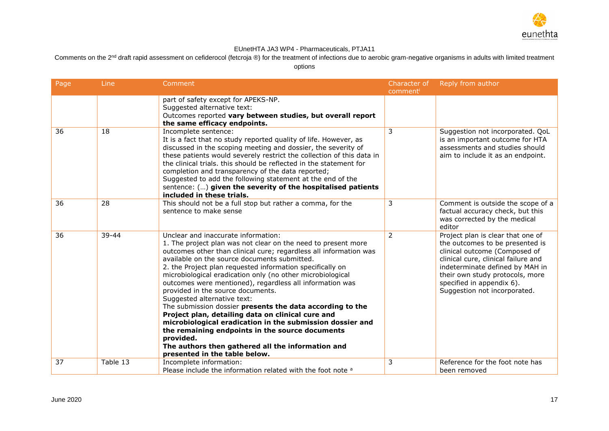

Comments on the 2<sup>nd</sup> draft rapid assessment on cefiderocol (fetcroja ®) for the treatment of infections due to aerobic gram-negative organisms in adults with limited treatment

| Page | Line     | Comment                                                                                                                                                                                                                                                                                                                                                                                                                                                                                                                                                                                                                                                                                                                                                                                                                   | Character of   | Reply from author                                                                                                                                                                                                                                                               |
|------|----------|---------------------------------------------------------------------------------------------------------------------------------------------------------------------------------------------------------------------------------------------------------------------------------------------------------------------------------------------------------------------------------------------------------------------------------------------------------------------------------------------------------------------------------------------------------------------------------------------------------------------------------------------------------------------------------------------------------------------------------------------------------------------------------------------------------------------------|----------------|---------------------------------------------------------------------------------------------------------------------------------------------------------------------------------------------------------------------------------------------------------------------------------|
|      |          | part of safety except for APEKS-NP.<br>Suggested alternative text:<br>Outcomes reported vary between studies, but overall report<br>the same efficacy endpoints.                                                                                                                                                                                                                                                                                                                                                                                                                                                                                                                                                                                                                                                          | comment        |                                                                                                                                                                                                                                                                                 |
| 36   | 18       | Incomplete sentence:<br>It is a fact that no study reported quality of life. However, as<br>discussed in the scoping meeting and dossier, the severity of<br>these patients would severely restrict the collection of this data in<br>the clinical trials, this should be reflected in the statement for<br>completion and transparency of the data reported;<br>Suggested to add the following statement at the end of the<br>sentence: () given the severity of the hospitalised patients<br>included in these trials.                                                                                                                                                                                                                                                                                                  | 3              | Suggestion not incorporated. QoL<br>is an important outcome for HTA<br>assessments and studies should<br>aim to include it as an endpoint.                                                                                                                                      |
| 36   | 28       | This should not be a full stop but rather a comma, for the<br>sentence to make sense                                                                                                                                                                                                                                                                                                                                                                                                                                                                                                                                                                                                                                                                                                                                      | 3              | Comment is outside the scope of a<br>factual accuracy check, but this<br>was corrected by the medical<br>editor                                                                                                                                                                 |
| 36   | 39-44    | Unclear and inaccurate information:<br>1. The project plan was not clear on the need to present more<br>outcomes other than clinical cure; regardless all information was<br>available on the source documents submitted.<br>2. the Project plan requested information specifically on<br>microbiological eradication only (no other microbiological<br>outcomes were mentioned), regardless all information was<br>provided in the source documents.<br>Suggested alternative text:<br>The submission dossier presents the data according to the<br>Project plan, detailing data on clinical cure and<br>microbiological eradication in the submission dossier and<br>the remaining endpoints in the source documents<br>provided.<br>The authors then gathered all the information and<br>presented in the table below. | $\overline{2}$ | Project plan is clear that one of<br>the outcomes to be presented is<br>clinical outcome (Composed of<br>clinical cure, clinical failure and<br>indeterminate defined by MAH in<br>their own study protocols, more<br>specified in appendix 6).<br>Suggestion not incorporated. |
| 37   | Table 13 | Incomplete information:<br>Please include the information related with the foot note a                                                                                                                                                                                                                                                                                                                                                                                                                                                                                                                                                                                                                                                                                                                                    | 3              | Reference for the foot note has<br>been removed                                                                                                                                                                                                                                 |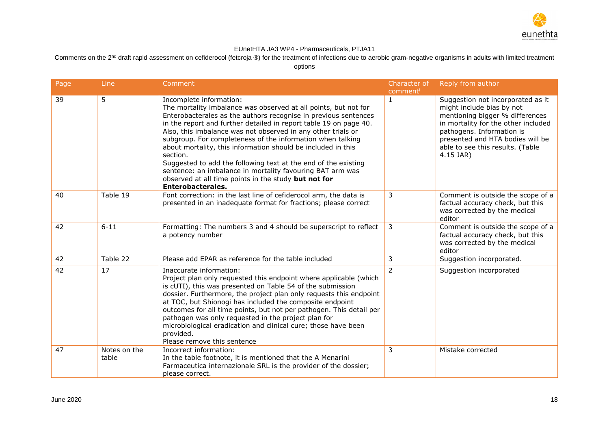

Comments on the 2<sup>nd</sup> draft rapid assessment on cefiderocol (fetcroja ®) for the treatment of infections due to aerobic gram-negative organisms in adults with limited treatment

| Page | Line                  | Comment                                                                                                                                                                                                                                                                                                                                                                                                                                                                                                                                                                                                                                                         | Character of            | Reply from author                                                                                                                                                                                                                                          |
|------|-----------------------|-----------------------------------------------------------------------------------------------------------------------------------------------------------------------------------------------------------------------------------------------------------------------------------------------------------------------------------------------------------------------------------------------------------------------------------------------------------------------------------------------------------------------------------------------------------------------------------------------------------------------------------------------------------------|-------------------------|------------------------------------------------------------------------------------------------------------------------------------------------------------------------------------------------------------------------------------------------------------|
| 39   | 5                     | Incomplete information:<br>The mortality imbalance was observed at all points, but not for<br>Enterobacterales as the authors recognise in previous sentences<br>in the report and further detailed in report table 19 on page 40.<br>Also, this imbalance was not observed in any other trials or<br>subgroup. For completeness of the information when talking<br>about mortality, this information should be included in this<br>section.<br>Suggested to add the following text at the end of the existing<br>sentence: an imbalance in mortality favouring BAT arm was<br>observed at all time points in the study but not for<br><b>Enterobacterales.</b> | comment<br>$\mathbf{1}$ | Suggestion not incorporated as it<br>might include bias by not<br>mentioning bigger % differences<br>in mortality for the other included<br>pathogens. Information is<br>presented and HTA bodies will be<br>able to see this results. (Table<br>4.15 JAR) |
| 40   | Table 19              | Font correction: in the last line of cefiderocol arm, the data is<br>presented in an inadequate format for fractions; please correct                                                                                                                                                                                                                                                                                                                                                                                                                                                                                                                            | 3                       | Comment is outside the scope of a<br>factual accuracy check, but this<br>was corrected by the medical<br>editor                                                                                                                                            |
| 42   | $6 - 11$              | Formatting: The numbers 3 and 4 should be superscript to reflect<br>a potency number                                                                                                                                                                                                                                                                                                                                                                                                                                                                                                                                                                            | 3                       | Comment is outside the scope of a<br>factual accuracy check, but this<br>was corrected by the medical<br>editor                                                                                                                                            |
| 42   | Table 22              | Please add EPAR as reference for the table included                                                                                                                                                                                                                                                                                                                                                                                                                                                                                                                                                                                                             | 3                       | Suggestion incorporated.                                                                                                                                                                                                                                   |
| 42   | 17                    | Inaccurate information:<br>Project plan only requested this endpoint where applicable (which<br>is cUTI), this was presented on Table 54 of the submission<br>dossier. Furthermore, the project plan only requests this endpoint<br>at TOC, but Shionogi has included the composite endpoint<br>outcomes for all time points, but not per pathogen. This detail per<br>pathogen was only requested in the project plan for<br>microbiological eradication and clinical cure; those have been<br>provided.<br>Please remove this sentence                                                                                                                        | $\mathcal{P}$           | Suggestion incorporated                                                                                                                                                                                                                                    |
| 47   | Notes on the<br>table | Incorrect information:<br>In the table footnote, it is mentioned that the A Menarini<br>Farmaceutica internazionale SRL is the provider of the dossier;<br>please correct.                                                                                                                                                                                                                                                                                                                                                                                                                                                                                      | 3                       | Mistake corrected                                                                                                                                                                                                                                          |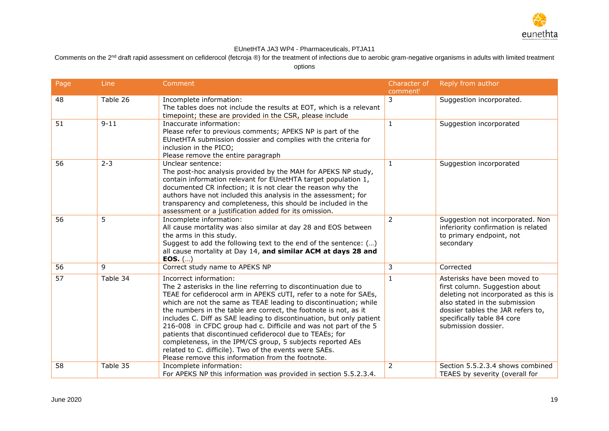

Comments on the 2<sup>nd</sup> draft rapid assessment on cefiderocol (fetcroja ®) for the treatment of infections due to aerobic gram-negative organisms in adults with limited treatment

| Page | Line     | Comment                                                                                                                                                                                                                                                                                                                                                                                                                                                                                                                                                                                                                                                                                     | Character of   | Reply from author                                                                                                                                                                                                                 |
|------|----------|---------------------------------------------------------------------------------------------------------------------------------------------------------------------------------------------------------------------------------------------------------------------------------------------------------------------------------------------------------------------------------------------------------------------------------------------------------------------------------------------------------------------------------------------------------------------------------------------------------------------------------------------------------------------------------------------|----------------|-----------------------------------------------------------------------------------------------------------------------------------------------------------------------------------------------------------------------------------|
| 48   | Table 26 | Incomplete information:<br>The tables does not include the results at EOT, which is a relevant<br>timepoint; these are provided in the CSR, please include                                                                                                                                                                                                                                                                                                                                                                                                                                                                                                                                  | comment<br>3   | Suggestion incorporated.                                                                                                                                                                                                          |
| 51   | $9 - 11$ | Inaccurate information:<br>Please refer to previous comments; APEKS NP is part of the<br>EUnetHTA submission dossier and complies with the criteria for<br>inclusion in the PICO;<br>Please remove the entire paragraph                                                                                                                                                                                                                                                                                                                                                                                                                                                                     | $\mathbf{1}$   | Suggestion incorporated                                                                                                                                                                                                           |
| 56   | $2 - 3$  | Unclear sentence:<br>The post-hoc analysis provided by the MAH for APEKS NP study,<br>contain information relevant for EUnetHTA target population 1,<br>documented CR infection; it is not clear the reason why the<br>authors have not included this analysis in the assessment; for<br>transparency and completeness, this should be included in the<br>assessment or a justification added for its omission.                                                                                                                                                                                                                                                                             | $\mathbf{1}$   | Suggestion incorporated                                                                                                                                                                                                           |
| 56   | 5        | Incomplete information:<br>All cause mortality was also similar at day 28 and EOS between<br>the arms in this study.<br>Suggest to add the following text to the end of the sentence: ()<br>all cause mortality at Day 14, and similar ACM at days 28 and<br>EOS. $()$                                                                                                                                                                                                                                                                                                                                                                                                                      | $\overline{2}$ | Suggestion not incorporated. Non<br>inferiority confirmation is related<br>to primary endpoint, not<br>secondary                                                                                                                  |
| 56   | 9        | Correct study name to APEKS NP                                                                                                                                                                                                                                                                                                                                                                                                                                                                                                                                                                                                                                                              | 3              | Corrected                                                                                                                                                                                                                         |
| 57   | Table 34 | Incorrect information:<br>The 2 asterisks in the line referring to discontinuation due to<br>TEAE for cefiderocol arm in APEKS cUTI, refer to a note for SAEs,<br>which are not the same as TEAE leading to discontinuation; while<br>the numbers in the table are correct, the footnote is not, as it<br>includes C. Diff as SAE leading to discontinuation, but only patient<br>216-008 in CFDC group had c. Difficile and was not part of the 5<br>patients that discontinued cefiderocol due to TEAEs; for<br>completeness, in the IPM/CS group, 5 subjects reported AEs<br>related to C. difficile). Two of the events were SAEs.<br>Please remove this information from the footnote. | 1              | Asterisks have been moved to<br>first column. Suggestion about<br>deleting not incorporated as this is<br>also stated in the submission<br>dossier tables the JAR refers to,<br>specifically table 84 core<br>submission dossier. |
| 58   | Table 35 | Incomplete information:<br>For APEKS NP this information was provided in section 5.5.2.3.4.                                                                                                                                                                                                                                                                                                                                                                                                                                                                                                                                                                                                 | 2              | Section 5.5.2.3.4 shows combined<br>TEAES by severity (overall for                                                                                                                                                                |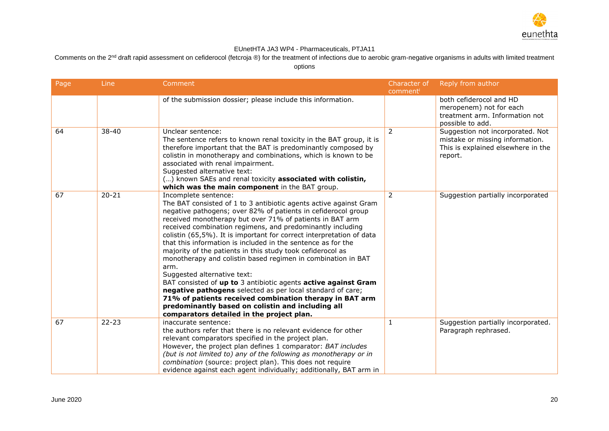

Comments on the 2<sup>nd</sup> draft rapid assessment on cefiderocol (fetcroja ®) for the treatment of infections due to aerobic gram-negative organisms in adults with limited treatment options

| Page | Line      | Comment                                                                                                                                                                                                                                                                                                                                                                                                                                                                                                                                                                                                                                                                                                                                                                                                                                                                                        | Character of<br>comment | Reply from author                                                                                                    |
|------|-----------|------------------------------------------------------------------------------------------------------------------------------------------------------------------------------------------------------------------------------------------------------------------------------------------------------------------------------------------------------------------------------------------------------------------------------------------------------------------------------------------------------------------------------------------------------------------------------------------------------------------------------------------------------------------------------------------------------------------------------------------------------------------------------------------------------------------------------------------------------------------------------------------------|-------------------------|----------------------------------------------------------------------------------------------------------------------|
|      |           | of the submission dossier; please include this information.                                                                                                                                                                                                                                                                                                                                                                                                                                                                                                                                                                                                                                                                                                                                                                                                                                    |                         | both cefiderocol and HD<br>meropenem) not for each<br>treatment arm. Information not<br>possible to add.             |
| 64   | 38-40     | Unclear sentence:<br>The sentence refers to known renal toxicity in the BAT group, it is<br>therefore important that the BAT is predominantly composed by<br>colistin in monotherapy and combinations, which is known to be<br>associated with renal impairment.<br>Suggested alternative text:<br>() known SAEs and renal toxicity associated with colistin,<br>which was the main component in the BAT group.                                                                                                                                                                                                                                                                                                                                                                                                                                                                                | $\mathcal{P}$           | Suggestion not incorporated. Not<br>mistake or missing information.<br>This is explained elsewhere in the<br>report. |
| 67   | $20 - 21$ | Incomplete sentence:<br>The BAT consisted of 1 to 3 antibiotic agents active against Gram<br>negative pathogens; over 82% of patients in cefiderocol group<br>received monotherapy but over 71% of patients in BAT arm<br>received combination regimens, and predominantly including<br>colistin (65,5%). It is important for correct interpretation of data<br>that this information is included in the sentence as for the<br>majority of the patients in this study took cefiderocol as<br>monotherapy and colistin based regimen in combination in BAT<br>arm.<br>Suggested alternative text:<br>BAT consisted of up to 3 antibiotic agents active against Gram<br>negative pathogens selected as per local standard of care;<br>71% of patients received combination therapy in BAT arm<br>predominantly based on colistin and including all<br>comparators detailed in the project plan. | 2                       | Suggestion partially incorporated                                                                                    |
| 67   | $22 - 23$ | inaccurate sentence:<br>the authors refer that there is no relevant evidence for other<br>relevant comparators specified in the project plan.<br>However, the project plan defines 1 comparator: BAT includes<br>(but is not limited to) any of the following as monotherapy or in<br>combination (source: project plan). This does not require<br>evidence against each agent individually; additionally, BAT arm in                                                                                                                                                                                                                                                                                                                                                                                                                                                                          | $\mathbf{1}$            | Suggestion partially incorporated.<br>Paragraph rephrased.                                                           |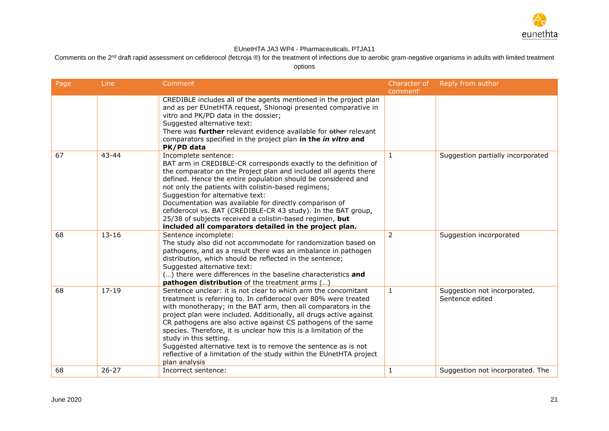

Comments on the 2<sup>nd</sup> draft rapid assessment on cefiderocol (fetcroja ®) for the treatment of infections due to aerobic gram-negative organisms in adults with limited treatment

| Page | Line      | Comment                                                                                                                                                                                                                                                                                                                                                                                                                                                                                                                                                                                            | Character of | Reply from author                               |
|------|-----------|----------------------------------------------------------------------------------------------------------------------------------------------------------------------------------------------------------------------------------------------------------------------------------------------------------------------------------------------------------------------------------------------------------------------------------------------------------------------------------------------------------------------------------------------------------------------------------------------------|--------------|-------------------------------------------------|
|      |           | CREDIBLE includes all of the agents mentioned in the project plan<br>and as per EUnetHTA request, Shionogi presented comparative in<br>vitro and PK/PD data in the dossier;<br>Suggested alternative text:<br>There was <b>further</b> relevant evidence available for other relevant<br>comparators specified in the project plan in the in vitro and<br>PK/PD data                                                                                                                                                                                                                               | comment      |                                                 |
| 67   | $43 - 44$ | Incomplete sentence:<br>BAT arm in CREDIBLE-CR corresponds exactly to the definition of<br>the comparator on the Project plan and included all agents there<br>defined. Hence the entire population should be considered and<br>not only the patients with colistin-based regimens;<br>Suggestion for alternative text:<br>Documentation was available for directly comparison of<br>cefiderocol vs. BAT (CREDIBLE-CR 43 study). In the BAT group,<br>25/38 of subjects received a colistin-based regimen, but<br>included all comparators detailed in the project plan.                           | $\mathbf{1}$ | Suggestion partially incorporated               |
| 68   | $13 - 16$ | Sentence incomplete:<br>The study also did not accommodate for randomization based on<br>pathogens, and as a result there was an imbalance in pathogen<br>distribution, which should be reflected in the sentence;<br>Suggested alternative text:<br>() there were differences in the baseline characteristics and<br>pathogen distribution of the treatment arms ()                                                                                                                                                                                                                               | 2            | Suggestion incorporated                         |
| 68   | $17 - 19$ | Sentence unclear: it is not clear to which arm the concomitant<br>treatment is referring to. In cefiderocol over 80% were treated<br>with monotherapy; in the BAT arm, then all comparators in the<br>project plan were included. Additionally, all drugs active against<br>CR pathogens are also active against CS pathogens of the same<br>species. Therefore, it is unclear how this is a limitation of the<br>study in this setting.<br>Suggested alternative text is to remove the sentence as is not<br>reflective of a limitation of the study within the EUnetHTA project<br>plan analysis | $\mathbf{1}$ | Suggestion not incorporated.<br>Sentence edited |
| 68   | $26 - 27$ | Incorrect sentence:                                                                                                                                                                                                                                                                                                                                                                                                                                                                                                                                                                                | 1            | Suggestion not incorporated. The                |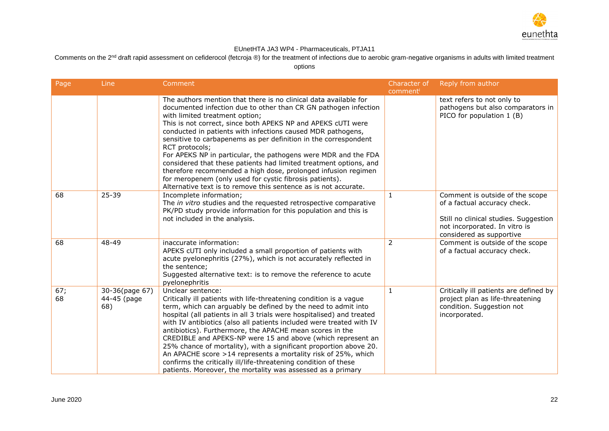

Comments on the 2<sup>nd</sup> draft rapid assessment on cefiderocol (fetcroja ®) for the treatment of infections due to aerobic gram-negative organisms in adults with limited treatment

| Page      | Line                                 | Comment                                                                                                                                                                                                                                                                                                                                                                                                                                                                                                                                                                                                                                                                                                                         | Character of<br>comment | Reply from author                                                                                                                                                     |
|-----------|--------------------------------------|---------------------------------------------------------------------------------------------------------------------------------------------------------------------------------------------------------------------------------------------------------------------------------------------------------------------------------------------------------------------------------------------------------------------------------------------------------------------------------------------------------------------------------------------------------------------------------------------------------------------------------------------------------------------------------------------------------------------------------|-------------------------|-----------------------------------------------------------------------------------------------------------------------------------------------------------------------|
|           |                                      | The authors mention that there is no clinical data available for<br>documented infection due to other than CR GN pathogen infection<br>with limited treatment option;<br>This is not correct, since both APEKS NP and APEKS cUTI were<br>conducted in patients with infections caused MDR pathogens,<br>sensitive to carbapenems as per definition in the correspondent<br>RCT protocols;<br>For APEKS NP in particular, the pathogens were MDR and the FDA<br>considered that these patients had limited treatment options, and<br>therefore recommended a high dose, prolonged infusion regimen<br>for meropenem (only used for cystic fibrosis patients).<br>Alternative text is to remove this sentence as is not accurate. |                         | text refers to not only to<br>pathogens but also comparators in<br>PICO for population 1 (B)                                                                          |
| 68        | 25-39                                | Incomplete information;<br>The in vitro studies and the requested retrospective comparative<br>PK/PD study provide information for this population and this is<br>not included in the analysis.                                                                                                                                                                                                                                                                                                                                                                                                                                                                                                                                 | $\mathbf{1}$            | Comment is outside of the scope<br>of a factual accuracy check.<br>Still no clinical studies. Suggestion<br>not incorporated. In vitro is<br>considered as supportive |
| 68        | 48-49                                | inaccurate information:<br>APEKS cUTI only included a small proportion of patients with<br>acute pyelonephritis (27%), which is not accurately reflected in<br>the sentence;<br>Suggested alternative text: is to remove the reference to acute<br>pyelonephritis                                                                                                                                                                                                                                                                                                                                                                                                                                                               | $\overline{2}$          | Comment is outside of the scope<br>of a factual accuracy check.                                                                                                       |
| 67;<br>68 | 30-36(page 67)<br>44-45 (page<br>68) | Unclear sentence:<br>Critically ill patients with life-threatening condition is a vague<br>term, which can arguably be defined by the need to admit into<br>hospital (all patients in all 3 trials were hospitalised) and treated<br>with IV antibiotics (also all patients included were treated with IV<br>antibiotics). Furthermore, the APACHE mean scores in the<br>CREDIBLE and APEKS-NP were 15 and above (which represent an<br>25% chance of mortality), with a significant proportion above 20.<br>An APACHE score >14 represents a mortality risk of 25%, which<br>confirms the critically ill/life-threatening condition of these<br>patients. Moreover, the mortality was assessed as a primary                    | 1                       | Critically ill patients are defined by<br>project plan as life-threatening<br>condition. Suggestion not<br>incorporated.                                              |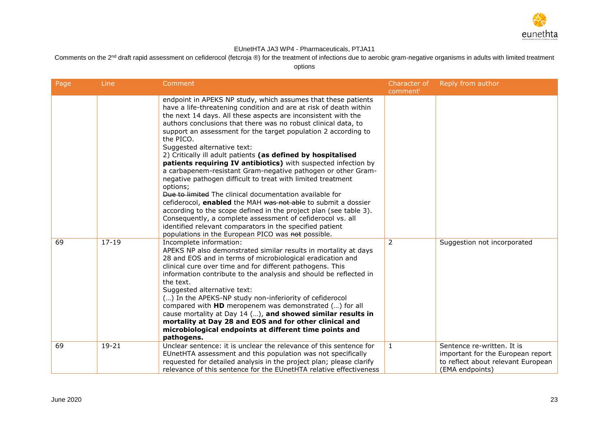

Comments on the 2<sup>nd</sup> draft rapid assessment on cefiderocol (fetcroja ®) for the treatment of infections due to aerobic gram-negative organisms in adults with limited treatment

| Page | Line      | Comment                                                                                                                                                                                                                                                                                                                                                                                                                                                                                                                                                                                                                                                                                                                                                                                                                                                                                                                                                                                                                                           | Character of<br>comment | Reply from author                                                                          |
|------|-----------|---------------------------------------------------------------------------------------------------------------------------------------------------------------------------------------------------------------------------------------------------------------------------------------------------------------------------------------------------------------------------------------------------------------------------------------------------------------------------------------------------------------------------------------------------------------------------------------------------------------------------------------------------------------------------------------------------------------------------------------------------------------------------------------------------------------------------------------------------------------------------------------------------------------------------------------------------------------------------------------------------------------------------------------------------|-------------------------|--------------------------------------------------------------------------------------------|
|      |           | endpoint in APEKS NP study, which assumes that these patients<br>have a life-threatening condition and are at risk of death within<br>the next 14 days. All these aspects are inconsistent with the<br>authors conclusions that there was no robust clinical data, to<br>support an assessment for the target population 2 according to<br>the PICO.<br>Suggested alternative text:<br>2) Critically ill adult patients (as defined by hospitalised<br>patients requiring IV antibiotics) with suspected infection by<br>a carbapenem-resistant Gram-negative pathogen or other Gram-<br>negative pathogen difficult to treat with limited treatment<br>options;<br>Due to limited The clinical documentation available for<br>cefiderocol, enabled the MAH was not able to submit a dossier<br>according to the scope defined in the project plan (see table 3).<br>Consequently, a complete assessment of cefiderocol vs. all<br>identified relevant comparators in the specified patient<br>populations in the European PICO was not possible. |                         |                                                                                            |
| 69   | $17 - 19$ | Incomplete information:<br>APEKS NP also demonstrated similar results in mortality at days<br>28 and EOS and in terms of microbiological eradication and<br>clinical cure over time and for different pathogens. This<br>information contribute to the analysis and should be reflected in<br>the text.<br>Suggested alternative text:<br>() In the APEKS-NP study non-inferiority of cefiderocol<br>compared with HD meropenem was demonstrated () for all<br>cause mortality at Day 14 (), and showed similar results in<br>mortality at Day 28 and EOS and for other clinical and<br>microbiological endpoints at different time points and<br>pathogens.                                                                                                                                                                                                                                                                                                                                                                                      | $\overline{2}$          | Suggestion not incorporated                                                                |
| 69   | $19 - 21$ | Unclear sentence: it is unclear the relevance of this sentence for                                                                                                                                                                                                                                                                                                                                                                                                                                                                                                                                                                                                                                                                                                                                                                                                                                                                                                                                                                                | $\mathbf{1}$            | Sentence re-written. It is                                                                 |
|      |           | EUnetHTA assessment and this population was not specifically<br>requested for detailed analysis in the project plan; please clarify<br>relevance of this sentence for the EUnetHTA relative effectiveness                                                                                                                                                                                                                                                                                                                                                                                                                                                                                                                                                                                                                                                                                                                                                                                                                                         |                         | important for the European report<br>to reflect about relevant European<br>(EMA endpoints) |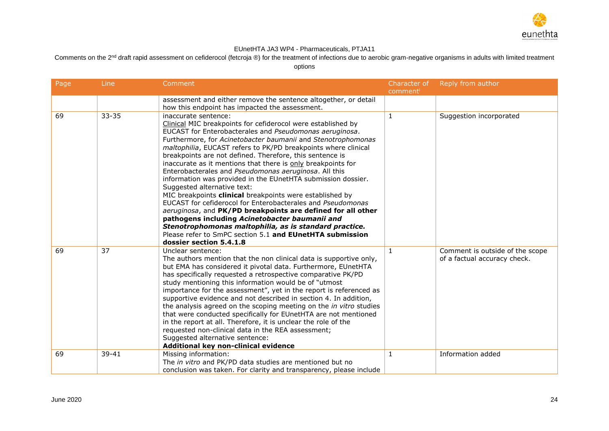

Comments on the 2<sup>nd</sup> draft rapid assessment on cefiderocol (fetcroja ®) for the treatment of infections due to aerobic gram-negative organisms in adults with limited treatment

| Page | Line      | Comment                                                                                                                                                                                                                                                                                                                                                                                                                                                                                                                                                                                                                                                                                                                                                                                                                                                                                                                                                            | Character of<br>comment | Reply from author                                               |
|------|-----------|--------------------------------------------------------------------------------------------------------------------------------------------------------------------------------------------------------------------------------------------------------------------------------------------------------------------------------------------------------------------------------------------------------------------------------------------------------------------------------------------------------------------------------------------------------------------------------------------------------------------------------------------------------------------------------------------------------------------------------------------------------------------------------------------------------------------------------------------------------------------------------------------------------------------------------------------------------------------|-------------------------|-----------------------------------------------------------------|
|      |           | assessment and either remove the sentence altogether, or detail<br>how this endpoint has impacted the assessment.                                                                                                                                                                                                                                                                                                                                                                                                                                                                                                                                                                                                                                                                                                                                                                                                                                                  |                         |                                                                 |
| 69   | $33 - 35$ | inaccurate sentence:<br>Clinical MIC breakpoints for cefiderocol were established by<br>EUCAST for Enterobacterales and Pseudomonas aeruginosa.<br>Furthermore, for Acinetobacter baumanii and Stenotrophomonas<br>maltophilia, EUCAST refers to PK/PD breakpoints where clinical<br>breakpoints are not defined. Therefore, this sentence is<br>inaccurate as it mentions that there is only breakpoints for<br>Enterobacterales and Pseudomonas aeruginosa. All this<br>information was provided in the EUnetHTA submission dossier.<br>Suggested alternative text:<br>MIC breakpoints clinical breakpoints were established by<br>EUCAST for cefiderocol for Enterobacterales and Pseudomonas<br>aeruginosa, and PK/PD breakpoints are defined for all other<br>pathogens including Acinetobacter baumanii and<br>Stenotrophomonas maltophilia, as is standard practice.<br>Please refer to SmPC section 5.1 and EUnetHTA submission<br>dossier section 5.4.1.8 | $\mathbf{1}$            | Suggestion incorporated                                         |
| 69   | 37        | Unclear sentence:<br>The authors mention that the non clinical data is supportive only,<br>but EMA has considered it pivotal data. Furthermore, EUnetHTA<br>has specifically requested a retrospective comparative PK/PD<br>study mentioning this information would be of "utmost<br>importance for the assessment", yet in the report is referenced as<br>supportive evidence and not described in section 4. In addition,<br>the analysis agreed on the scoping meeting on the in vitro studies<br>that were conducted specifically for EUnetHTA are not mentioned<br>in the report at all. Therefore, it is unclear the role of the<br>requested non-clinical data in the REA assessment;<br>Suggested alternative sentence:<br>Additional key non-clinical evidence                                                                                                                                                                                            | $\mathbf{1}$            | Comment is outside of the scope<br>of a factual accuracy check. |
| 69   | $39 - 41$ | Missing information:<br>The in vitro and PK/PD data studies are mentioned but no<br>conclusion was taken. For clarity and transparency, please include                                                                                                                                                                                                                                                                                                                                                                                                                                                                                                                                                                                                                                                                                                                                                                                                             | $\mathbf{1}$            | Information added                                               |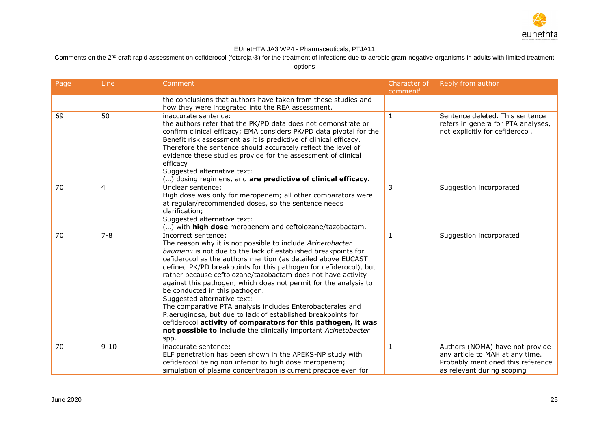

Comments on the 2<sup>nd</sup> draft rapid assessment on cefiderocol (fetcroja ®) for the treatment of infections due to aerobic gram-negative organisms in adults with limited treatment

| Page | Line     | Comment                                                                                                                                                                                                                                                                                                                                                                                                                                                                                                                                                                                                                                                                                                                                                                | Character of<br>comment | Reply from author                                                                                                                     |
|------|----------|------------------------------------------------------------------------------------------------------------------------------------------------------------------------------------------------------------------------------------------------------------------------------------------------------------------------------------------------------------------------------------------------------------------------------------------------------------------------------------------------------------------------------------------------------------------------------------------------------------------------------------------------------------------------------------------------------------------------------------------------------------------------|-------------------------|---------------------------------------------------------------------------------------------------------------------------------------|
|      |          | the conclusions that authors have taken from these studies and<br>how they were integrated into the REA assessment.                                                                                                                                                                                                                                                                                                                                                                                                                                                                                                                                                                                                                                                    |                         |                                                                                                                                       |
| 69   | 50       | inaccurate sentence:<br>the authors refer that the PK/PD data does not demonstrate or<br>confirm clinical efficacy; EMA considers PK/PD data pivotal for the<br>Benefit risk assessment as it is predictive of clinical efficacy.<br>Therefore the sentence should accurately reflect the level of<br>evidence these studies provide for the assessment of clinical<br>efficacy<br>Suggested alternative text:<br>() dosing regimens, and are predictive of clinical efficacy.                                                                                                                                                                                                                                                                                         | $\mathbf{1}$            | Sentence deleted. This sentence<br>refers in genera for PTA analyses,<br>not explicitly for cefiderocol.                              |
| 70   | 4        | Unclear sentence:<br>High dose was only for meropenem; all other comparators were<br>at regular/recommended doses, so the sentence needs<br>clarification;<br>Suggested alternative text:<br>() with high dose meropenem and ceftolozane/tazobactam.                                                                                                                                                                                                                                                                                                                                                                                                                                                                                                                   | 3                       | Suggestion incorporated                                                                                                               |
| 70   | $7 - 8$  | Incorrect sentence:<br>The reason why it is not possible to include Acinetobacter<br>baumanii is not due to the lack of established breakpoints for<br>cefiderocol as the authors mention (as detailed above EUCAST<br>defined PK/PD breakpoints for this pathogen for cefiderocol), but<br>rather because ceftolozane/tazobactam does not have activity<br>against this pathogen, which does not permit for the analysis to<br>be conducted in this pathogen.<br>Suggested alternative text:<br>The comparative PTA analysis includes Enterobacterales and<br>P.aeruginosa, but due to lack of established breakpoints for<br>eefiderocol activity of comparators for this pathogen, it was<br>not possible to include the clinically important Acinetobacter<br>spp. | $\mathbf{1}$            | Suggestion incorporated                                                                                                               |
| 70   | $9 - 10$ | inaccurate sentence:<br>ELF penetration has been shown in the APEKS-NP study with<br>cefiderocol being non inferior to high dose meropenem;<br>simulation of plasma concentration is current practice even for                                                                                                                                                                                                                                                                                                                                                                                                                                                                                                                                                         | 1                       | Authors (NOMA) have not provide<br>any article to MAH at any time.<br>Probably mentioned this reference<br>as relevant during scoping |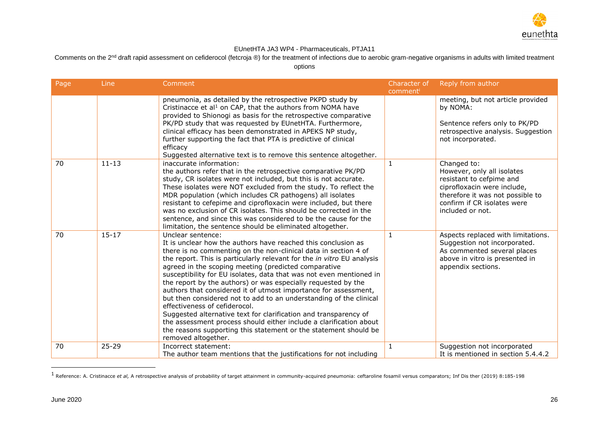

Comments on the 2<sup>nd</sup> draft rapid assessment on cefiderocol (fetcroja ®) for the treatment of infections due to aerobic gram-negative organisms in adults with limited treatment

options

| Page | Line      | Comment                                                                                                                                                                                                                                                                                                                                                                                                                                                                                                                                                                                                                                                                                                                                                                                                                                        | Character of<br>comment | Reply from author                                                                                                                                                                           |
|------|-----------|------------------------------------------------------------------------------------------------------------------------------------------------------------------------------------------------------------------------------------------------------------------------------------------------------------------------------------------------------------------------------------------------------------------------------------------------------------------------------------------------------------------------------------------------------------------------------------------------------------------------------------------------------------------------------------------------------------------------------------------------------------------------------------------------------------------------------------------------|-------------------------|---------------------------------------------------------------------------------------------------------------------------------------------------------------------------------------------|
|      |           | pneumonia, as detailed by the retrospective PKPD study by<br>Cristinacce et al <sup>1</sup> on CAP, that the authors from NOMA have<br>provided to Shionogi as basis for the retrospective comparative<br>PK/PD study that was requested by EUnetHTA. Furthermore,<br>clinical efficacy has been demonstrated in APEKS NP study,<br>further supporting the fact that PTA is predictive of clinical<br>efficacy<br>Suggested alternative text is to remove this sentence altogether.                                                                                                                                                                                                                                                                                                                                                            |                         | meeting, but not article provided<br>by NOMA:<br>Sentence refers only to PK/PD<br>retrospective analysis. Suggestion<br>not incorporated.                                                   |
| 70   | $11 - 13$ | inaccurate information:<br>the authors refer that in the retrospective comparative PK/PD<br>study, CR isolates were not included, but this is not accurate.<br>These isolates were NOT excluded from the study. To reflect the<br>MDR population (which includes CR pathogens) all isolates<br>resistant to cefepime and ciprofloxacin were included, but there<br>was no exclusion of CR isolates. This should be corrected in the<br>sentence, and since this was considered to be the cause for the<br>limitation, the sentence should be eliminated altogether.                                                                                                                                                                                                                                                                            | 1                       | Changed to:<br>However, only all isolates<br>resistant to cefpime and<br>ciprofloxacin were include,<br>therefore it was not possible to<br>confirm if CR isolates were<br>included or not. |
| 70   | $15 - 17$ | Unclear sentence:<br>It is unclear how the authors have reached this conclusion as<br>there is no commenting on the non-clinical data in section 4 of<br>the report. This is particularly relevant for the in vitro EU analysis<br>agreed in the scoping meeting (predicted comparative<br>susceptibility for EU isolates, data that was not even mentioned in<br>the report by the authors) or was especially requested by the<br>authors that considered it of utmost importance for assessment,<br>but then considered not to add to an understanding of the clinical<br>effectiveness of cefiderocol.<br>Suggested alternative text for clarification and transparency of<br>the assessment process should either include a clarification about<br>the reasons supporting this statement or the statement should be<br>removed altogether. | 1                       | Aspects replaced with limitations.<br>Suggestion not incorporated.<br>As commented several places<br>above in vitro is presented in<br>appendix sections.                                   |
| 70   | $25 - 29$ | Incorrect statement:<br>The author team mentions that the justifications for not including                                                                                                                                                                                                                                                                                                                                                                                                                                                                                                                                                                                                                                                                                                                                                     | 1                       | Suggestion not incorporated<br>It is mentioned in section 5.4.4.2                                                                                                                           |

<sup>&</sup>lt;sup>1</sup> Reference: A. Cristinacce *et al,* A retrospective analysis of probability of target attainment in community-acquired pneumonia: ceftaroline fosamil versus comparators; Inf Dis ther (2019) 8:185-198

ı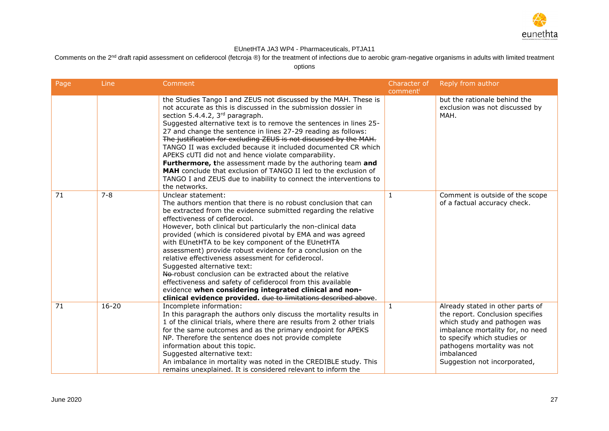

Comments on the 2<sup>nd</sup> draft rapid assessment on cefiderocol (fetcroja ®) for the treatment of infections due to aerobic gram-negative organisms in adults with limited treatment

| Page | Line      | Comment                                                                                                                                                                                                                                                                                                                                                                                                                                                                                                                                                                                                                                                                                                                                                                                    | Character of<br>comment | Reply from author                                                                                                                                                                                                                                    |
|------|-----------|--------------------------------------------------------------------------------------------------------------------------------------------------------------------------------------------------------------------------------------------------------------------------------------------------------------------------------------------------------------------------------------------------------------------------------------------------------------------------------------------------------------------------------------------------------------------------------------------------------------------------------------------------------------------------------------------------------------------------------------------------------------------------------------------|-------------------------|------------------------------------------------------------------------------------------------------------------------------------------------------------------------------------------------------------------------------------------------------|
|      |           | the Studies Tango I and ZEUS not discussed by the MAH. These is<br>not accurate as this is discussed in the submission dossier in<br>section 5.4.4.2, 3rd paragraph.<br>Suggested alternative text is to remove the sentences in lines 25-<br>27 and change the sentence in lines 27-29 reading as follows:<br>The justification for excluding ZEUS is not discussed by the MAH.<br>TANGO II was excluded because it included documented CR which<br>APEKS cUTI did not and hence violate comparability.<br>Furthermore, the assessment made by the authoring team and<br>MAH conclude that exclusion of TANGO II led to the exclusion of<br>TANGO I and ZEUS due to inability to connect the interventions to<br>the networks.                                                            |                         | but the rationale behind the<br>exclusion was not discussed by<br>MAH.                                                                                                                                                                               |
| 71   | $7 - 8$   | Unclear statement:<br>The authors mention that there is no robust conclusion that can<br>be extracted from the evidence submitted regarding the relative<br>effectiveness of cefiderocol.<br>However, both clinical but particularly the non-clinical data<br>provided (which is considered pivotal by EMA and was agreed<br>with EUnetHTA to be key component of the EUnetHTA<br>assessment) provide robust evidence for a conclusion on the<br>relative effectiveness assessment for cefiderocol.<br>Suggested alternative text:<br>No-robust conclusion can be extracted about the relative<br>effectiveness and safety of cefiderocol from this available<br>evidence when considering integrated clinical and non-<br>clinical evidence provided. due to limitations described above. | $\mathbf{1}$            | Comment is outside of the scope<br>of a factual accuracy check.                                                                                                                                                                                      |
| 71   | $16 - 20$ | Incomplete information:<br>In this paragraph the authors only discuss the mortality results in<br>1 of the clinical trials, where there are results from 2 other trials<br>for the same outcomes and as the primary endpoint for APEKS<br>NP. Therefore the sentence does not provide complete<br>information about this topic.<br>Suggested alternative text:<br>An imbalance in mortality was noted in the CREDIBLE study. This<br>remains unexplained. It is considered relevant to inform the                                                                                                                                                                                                                                                                                          | $\mathbf{1}$            | Already stated in other parts of<br>the report. Conclusion specifies<br>which study and pathogen was<br>imbalance mortality for, no need<br>to specify which studies or<br>pathogens mortality was not<br>imbalanced<br>Suggestion not incorporated, |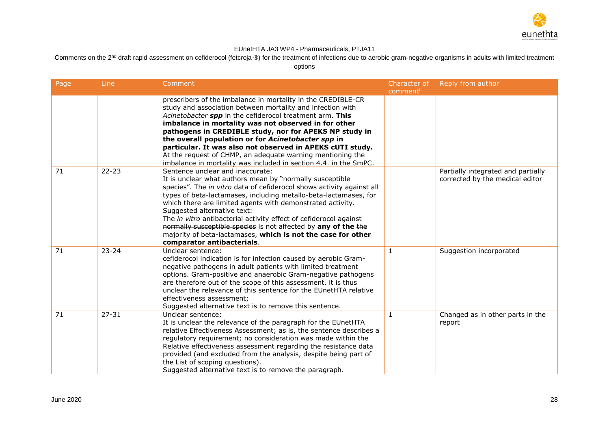

Comments on the 2<sup>nd</sup> draft rapid assessment on cefiderocol (fetcroja ®) for the treatment of infections due to aerobic gram-negative organisms in adults with limited treatment

| Page | Line      | Comment                                                                                                                                                                                                                                                                                                                                                                                                                                                                                                                                                                     | Character of<br>comment | Reply from author                                                     |
|------|-----------|-----------------------------------------------------------------------------------------------------------------------------------------------------------------------------------------------------------------------------------------------------------------------------------------------------------------------------------------------------------------------------------------------------------------------------------------------------------------------------------------------------------------------------------------------------------------------------|-------------------------|-----------------------------------------------------------------------|
|      |           | prescribers of the imbalance in mortality in the CREDIBLE-CR<br>study and association between mortality and infection with<br>Acinetobacter spp in the cefiderocol treatment arm. This<br>imbalance in mortality was not observed in for other<br>pathogens in CREDIBLE study, nor for APEKS NP study in<br>the overall population or for Acinetobacter spp in<br>particular. It was also not observed in APEKS cUTI study.<br>At the request of CHMP, an adequate warning mentioning the<br>imbalance in mortality was included in section 4.4. in the SmPC.               |                         |                                                                       |
| 71   | $22 - 23$ | Sentence unclear and inaccurate:<br>It is unclear what authors mean by "normally susceptible<br>species". The in vitro data of cefiderocol shows activity against all<br>types of beta-lactamases, including metallo-beta-lactamases, for<br>which there are limited agents with demonstrated activity.<br>Suggested alternative text:<br>The in vitro antibacterial activity effect of cefiderocol against<br>normally susceptible species is not affected by any of the the<br>majority of beta-lactamases, which is not the case for other<br>comparator antibacterials. |                         | Partially integrated and partially<br>corrected by the medical editor |
| 71   | $23 - 24$ | Unclear sentence:<br>cefiderocol indication is for infection caused by aerobic Gram-<br>negative pathogens in adult patients with limited treatment<br>options. Gram-positive and anaerobic Gram-negative pathogens<br>are therefore out of the scope of this assessment. it is thus<br>unclear the relevance of this sentence for the EUnetHTA relative<br>effectiveness assessment;<br>Suggested alternative text is to remove this sentence.                                                                                                                             | $\mathbf{1}$            | Suggestion incorporated                                               |
| 71   | $27 - 31$ | Unclear sentence:<br>It is unclear the relevance of the paragraph for the EUnetHTA<br>relative Effectiveness Assessment; as is, the sentence describes a<br>regulatory requirement; no consideration was made within the<br>Relative effectiveness assessment regarding the resistance data<br>provided (and excluded from the analysis, despite being part of<br>the List of scoping questions).<br>Suggested alternative text is to remove the paragraph.                                                                                                                 | 1                       | Changed as in other parts in the<br>report                            |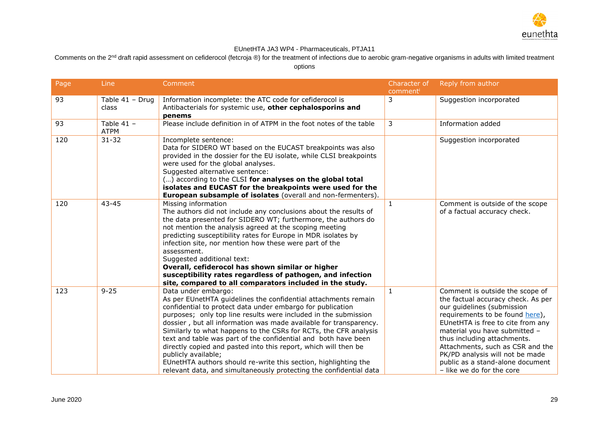

Comments on the  $2<sup>nd</sup>$  draft rapid assessment on cefiderocol (fetcroja ®) for the treatment of infections due to aerobic gram-negative organisms in adults with limited treatment options

Page Line Comment Commet Comment Character of Character of Character of comment<sup>i</sup> Reply from author 93 Table 41 – Drug class Information incomplete: the ATC code for cefiderocol is Antibacterials for systemic use, **other cephalosporins and penems** 3 Suggestion incorporated  $93$  Table  $41 -$ ATPM Please include definition in of ATPM in the foot notes of the table 3 Information added 120 31-32 Incomplete sentence: Data for SIDERO WT based on the EUCAST breakpoints was also provided in the dossier for the EU isolate, while CLSI breakpoints were used for the global analyses. Suggested alternative sentence: (…) according to the CLSI **for analyses on the global total isolates and EUCAST for the breakpoints were used for the European subsample of isolates** (overall and non-fermenters). Suggestion incorporated 120 43-45 Missing information The authors did not include any conclusions about the results of the data presented for SIDERO WT; furthermore, the authors do not mention the analysis agreed at the scoping meeting predicting susceptibility rates for Europe in MDR isolates by infection site, nor mention how these were part of the assessment. Suggested additional text: **Overall, cefiderocol has shown similar or higher susceptibility rates regardless of pathogen, and infection site, compared to all comparators included in the study.** 1 Comment is outside of the scope of a factual accuracy check. 123 9-25 Data under embargo: As per EUnetHTA guidelines the confidential attachments remain confidential to protect data under embargo for publication purposes; only top line results were included in the submission dossier , but all information was made available for transparency. Similarly to what happens to the CSRs for RCTs, the CFR analysis text and table was part of the confidential and both have been directly copied and pasted into this report, which will then be publicly available; EUnetHTA authors should re-write this section, highlighting the relevant data, and simultaneously protecting the confidential data 1 Comment is outside the scope of the factual accuracy check. As per our guidelines (submission requirements to be found [here\)](https://eunethta.eu/wp-content/uploads/2019/09/EUnetHTA-submission-requirements-V2.pdf), EUnetHTA is free to cite from any material you have submitted – thus including attachments. Attachments, such as CSR and the PK/PD analysis will not be made public as a stand-alone document – like we do for the core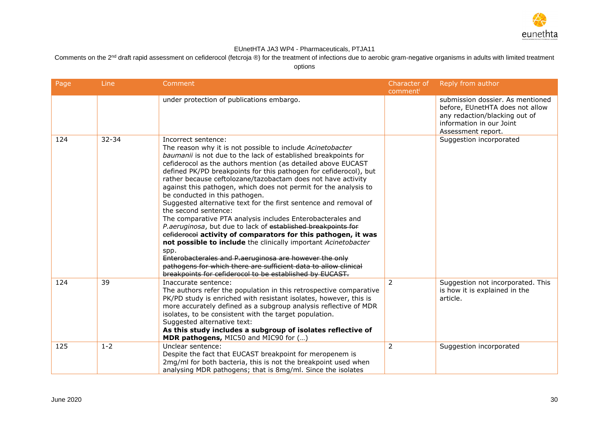

Comments on the 2<sup>nd</sup> draft rapid assessment on cefiderocol (fetcroja ®) for the treatment of infections due to aerobic gram-negative organisms in adults with limited treatment

| Page | Line    | Comment                                                                                                                          | Character of   | Reply from author                 |
|------|---------|----------------------------------------------------------------------------------------------------------------------------------|----------------|-----------------------------------|
|      |         | under protection of publications embargo.                                                                                        | comment        | submission dossier. As mentioned  |
|      |         |                                                                                                                                  |                | before, EUnetHTA does not allow   |
|      |         |                                                                                                                                  |                | any redaction/blacking out of     |
|      |         |                                                                                                                                  |                | information in our Joint          |
|      | 32-34   |                                                                                                                                  |                | Assessment report.                |
| 124  |         | Incorrect sentence:<br>The reason why it is not possible to include Acinetobacter                                                |                | Suggestion incorporated           |
|      |         | baumanii is not due to the lack of established breakpoints for                                                                   |                |                                   |
|      |         | cefiderocol as the authors mention (as detailed above EUCAST                                                                     |                |                                   |
|      |         | defined PK/PD breakpoints for this pathogen for cefiderocol), but                                                                |                |                                   |
|      |         | rather because ceftolozane/tazobactam does not have activity<br>against this pathogen, which does not permit for the analysis to |                |                                   |
|      |         | be conducted in this pathogen.                                                                                                   |                |                                   |
|      |         | Suggested alternative text for the first sentence and removal of                                                                 |                |                                   |
|      |         | the second sentence:                                                                                                             |                |                                   |
|      |         | The comparative PTA analysis includes Enterobacterales and                                                                       |                |                                   |
|      |         | P.aeruginosa, but due to lack of established breakpoints for<br>eefiderocol activity of comparators for this pathogen, it was    |                |                                   |
|      |         | not possible to include the clinically important Acinetobacter                                                                   |                |                                   |
|      |         | spp.                                                                                                                             |                |                                   |
|      |         | Enterobacterales and P.aeruginosa are however the only                                                                           |                |                                   |
|      |         | pathogens for which there are sufficient data to allow clinical                                                                  |                |                                   |
| 124  | 39      | breakpoints for cefiderocol to be established by EUCAST.<br>Inaccurate sentence:                                                 | $\mathcal{P}$  | Suggestion not incorporated. This |
|      |         | The authors refer the population in this retrospective comparative                                                               |                | is how it is explained in the     |
|      |         | PK/PD study is enriched with resistant isolates, however, this is                                                                |                | article.                          |
|      |         | more accurately defined as a subgroup analysis reflective of MDR                                                                 |                |                                   |
|      |         | isolates, to be consistent with the target population.                                                                           |                |                                   |
|      |         | Suggested alternative text:<br>As this study includes a subgroup of isolates reflective of                                       |                |                                   |
|      |         | MDR pathogens, MIC50 and MIC90 for ()                                                                                            |                |                                   |
| 125  | $1 - 2$ | Unclear sentence:                                                                                                                | $\overline{2}$ | Suggestion incorporated           |
|      |         | Despite the fact that EUCAST breakpoint for meropenem is                                                                         |                |                                   |
|      |         | 2mg/ml for both bacteria, this is not the breakpoint used when                                                                   |                |                                   |
|      |         | analysing MDR pathogens; that is 8mg/ml. Since the isolates                                                                      |                |                                   |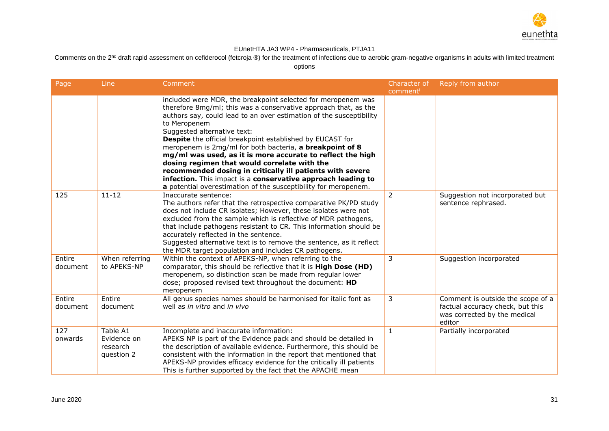

Comments on the 2<sup>nd</sup> draft rapid assessment on cefiderocol (fetcroja ®) for the treatment of infections due to aerobic gram-negative organisms in adults with limited treatment

| Page               | Line                                              | Comment                                                                                                                                                                                                                                                                                                                                                                                                                                                                                                                                                                                                                                                                                             | Character of<br>comment | Reply from author                                                                                               |
|--------------------|---------------------------------------------------|-----------------------------------------------------------------------------------------------------------------------------------------------------------------------------------------------------------------------------------------------------------------------------------------------------------------------------------------------------------------------------------------------------------------------------------------------------------------------------------------------------------------------------------------------------------------------------------------------------------------------------------------------------------------------------------------------------|-------------------------|-----------------------------------------------------------------------------------------------------------------|
|                    |                                                   | included were MDR, the breakpoint selected for meropenem was<br>therefore 8mg/ml; this was a conservative approach that, as the<br>authors say, could lead to an over estimation of the susceptibility<br>to Meropenem<br>Suggested alternative text:<br><b>Despite</b> the official breakpoint established by EUCAST for<br>meropenem is 2mg/ml for both bacteria, a breakpoint of 8<br>mg/ml was used, as it is more accurate to reflect the high<br>dosing regimen that would correlate with the<br>recommended dosing in critically ill patients with severe<br>infection. This impact is a conservative approach leading to<br>a potential overestimation of the susceptibility for meropenem. |                         |                                                                                                                 |
| 125                | $11 - 12$                                         | Inaccurate sentence:<br>The authors refer that the retrospective comparative PK/PD study<br>does not include CR isolates; However, these isolates were not<br>excluded from the sample which is reflective of MDR pathogens,<br>that include pathogens resistant to CR. This information should be<br>accurately reflected in the sentence.<br>Suggested alternative text is to remove the sentence, as it reflect<br>the MDR target population and includes CR pathogens.                                                                                                                                                                                                                          | $\overline{2}$          | Suggestion not incorporated but<br>sentence rephrased.                                                          |
| Entire<br>document | When referring<br>to APEKS-NP                     | Within the context of APEKS-NP, when referring to the<br>comparator, this should be reflective that it is High Dose (HD)<br>meropenem, so distinction scan be made from regular lower<br>dose; proposed revised text throughout the document: HD<br>meropenem                                                                                                                                                                                                                                                                                                                                                                                                                                       | 3                       | Suggestion incorporated                                                                                         |
| Entire<br>document | Entire<br>document                                | All genus species names should be harmonised for italic font as<br>well as in vitro and in vivo                                                                                                                                                                                                                                                                                                                                                                                                                                                                                                                                                                                                     | 3                       | Comment is outside the scope of a<br>factual accuracy check, but this<br>was corrected by the medical<br>editor |
| 127<br>onwards     | Table A1<br>Evidence on<br>research<br>question 2 | Incomplete and inaccurate information:<br>APEKS NP is part of the Evidence pack and should be detailed in<br>the description of available evidence. Furthermore, this should be<br>consistent with the information in the report that mentioned that<br>APEKS-NP provides efficacy evidence for the critically ill patients<br>This is further supported by the fact that the APACHE mean                                                                                                                                                                                                                                                                                                           | $\mathbf{1}$            | Partially incorporated                                                                                          |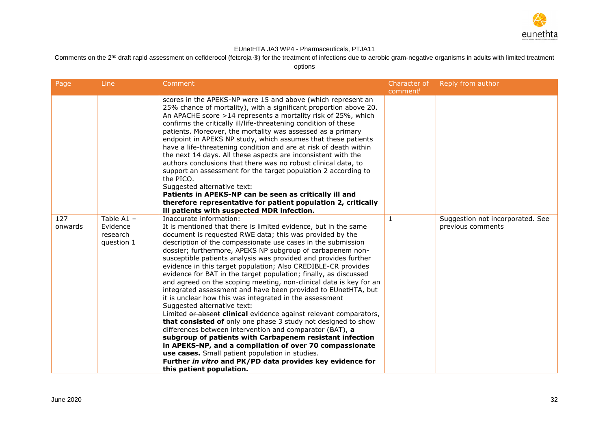

Comments on the 2<sup>nd</sup> draft rapid assessment on cefiderocol (fetcroja ®) for the treatment of infections due to aerobic gram-negative organisms in adults with limited treatment

| Page           | Line                                               | Comment                                                                                                                                                                                                                                                                                                                                                                                                                                                                                                                                                                                                                                                                                                                                                                                                                                                                                                                                                                                                                                                                                                                                                                                            | Character of<br>comment | Reply from author                                     |
|----------------|----------------------------------------------------|----------------------------------------------------------------------------------------------------------------------------------------------------------------------------------------------------------------------------------------------------------------------------------------------------------------------------------------------------------------------------------------------------------------------------------------------------------------------------------------------------------------------------------------------------------------------------------------------------------------------------------------------------------------------------------------------------------------------------------------------------------------------------------------------------------------------------------------------------------------------------------------------------------------------------------------------------------------------------------------------------------------------------------------------------------------------------------------------------------------------------------------------------------------------------------------------------|-------------------------|-------------------------------------------------------|
|                |                                                    | scores in the APEKS-NP were 15 and above (which represent an<br>25% chance of mortality), with a significant proportion above 20.<br>An APACHE score >14 represents a mortality risk of 25%, which<br>confirms the critically ill/life-threatening condition of these<br>patients. Moreover, the mortality was assessed as a primary<br>endpoint in APEKS NP study, which assumes that these patients<br>have a life-threatening condition and are at risk of death within<br>the next 14 days. All these aspects are inconsistent with the<br>authors conclusions that there was no robust clinical data, to<br>support an assessment for the target population 2 according to<br>the PICO.<br>Suggested alternative text:<br>Patients in APEKS-NP can be seen as critically ill and<br>therefore representative for patient population 2, critically<br>ill patients with suspected MDR infection.                                                                                                                                                                                                                                                                                               |                         |                                                       |
| 127<br>onwards | Table $A1 -$<br>Evidence<br>research<br>question 1 | Inaccurate information:<br>It is mentioned that there is limited evidence, but in the same<br>document is requested RWE data; this was provided by the<br>description of the compassionate use cases in the submission<br>dossier; furthermore, APEKS NP subgroup of carbapenem non-<br>susceptible patients analysis was provided and provides further<br>evidence in this target population; Also CREDIBLE-CR provides<br>evidence for BAT in the target population; finally, as discussed<br>and agreed on the scoping meeting, non-clinical data is key for an<br>integrated assessment and have been provided to EUnetHTA, but<br>it is unclear how this was integrated in the assessment<br>Suggested alternative text:<br>Limited or absent clinical evidence against relevant comparators,<br>that consisted of only one phase 3 study not designed to show<br>differences between intervention and comparator (BAT), a<br>subgroup of patients with Carbapenem resistant infection<br>in APEKS-NP, and a compilation of over 70 compassionate<br>use cases. Small patient population in studies.<br>Further in vitro and PK/PD data provides key evidence for<br>this patient population. | $\mathbf{1}$            | Suggestion not incorporated. See<br>previous comments |